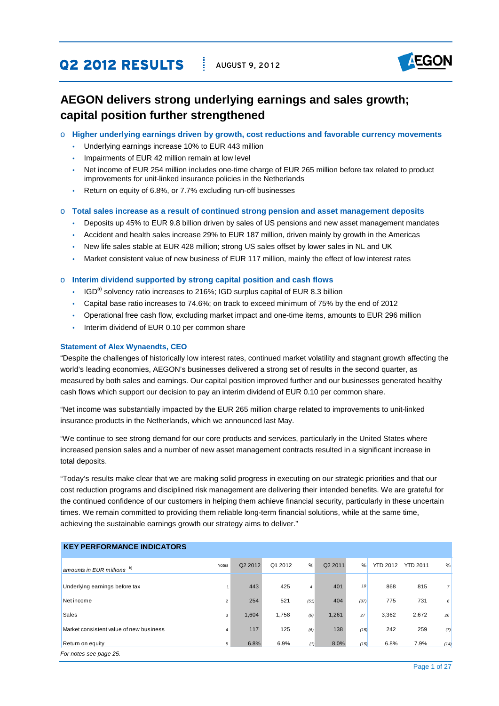# **Q2 2012 RESULTS**



# **AEGON delivers strong underlying earnings and sales growth; capital position further strengthened**

- o **Higher underlying earnings driven by growth, cost reductions and favorable currency movements**
	- Underlying earnings increase 10% to EUR 443 million
	- Impairments of EUR 42 million remain at low level
	- Net income of EUR 254 million includes one-time charge of EUR 265 million before tax related to product improvements for unit-linked insurance policies in the Netherlands
	- Return on equity of 6.8%, or 7.7% excluding run-off businesses

#### o **Total sales increase as a result of continued strong pension and asset management deposits**

- Deposits up 45% to EUR 9.8 billion driven by sales of US pensions and new asset management mandates
- Accident and health sales increase 29% to EUR 187 million, driven mainly by growth in the Americas
- New life sales stable at EUR 428 million; strong US sales offset by lower sales in NL and UK
- Market consistent value of new business of EUR 117 million, mainly the effect of low interest rates

#### o **Interim dividend supported by strong capital position and cash flows**

- $\cdot$  IGD<sup>a)</sup> solvency ratio increases to 216%; IGD surplus capital of EUR 8.3 billion
- Capital base ratio increases to 74.6%; on track to exceed minimum of 75% by the end of 2012
- Operational free cash flow, excluding market impact and one-time items, amounts to EUR 296 million
- Interim dividend of EUR 0.10 per common share

#### **Statement of Alex Wynaendts, CEO**

"Despite the challenges of historically low interest rates, continued market volatility and stagnant growth affecting the world's leading economies, AEGON's businesses delivered a strong set of results in the second quarter, as measured by both sales and earnings. Our capital position improved further and our businesses generated healthy cash flows which support our decision to pay an interim dividend of EUR 0.10 per common share.

"Net income was substantially impacted by the EUR 265 million charge related to improvements to unit-linked insurance products in the Netherlands, which we announced last May.

"We continue to see strong demand for our core products and services, particularly in the United States where increased pension sales and a number of new asset management contracts resulted in a significant increase in total deposits.

"Today's results make clear that we are making solid progress in executing on our strategic priorities and that our cost reduction programs and disciplined risk management are delivering their intended benefits. We are grateful for the continued confidence of our customers in helping them achieve financial security, particularly in these uncertain times. We remain committed to providing them reliable long-term financial solutions, while at the same time, achieving the sustainable earnings growth our strategy aims to deliver."

| amounts in EUR millions b)              | Notes          | Q2 2012 | Q1 2012 | %              | Q2 2011 | %    | <b>YTD 2012</b> | <b>YTD 2011</b> | %    |
|-----------------------------------------|----------------|---------|---------|----------------|---------|------|-----------------|-----------------|------|
| Underlying earnings before tax          |                | 443     | 425     | $\overline{4}$ | 401     | 10   | 868             | 815             | 7    |
| Net income                              | $\overline{2}$ | 254     | 521     | (51)           | 404     | (37) | 775             | 731             | 6    |
| <b>Sales</b>                            | 3              | 1,604   | 1,758   | (9)            | 1,261   | 27   | 3,362           | 2,672           | 26   |
| Market consistent value of new business | $\overline{4}$ | 117     | 125     | (6)            | 138     | (15) | 242             | 259             | (7)  |
| Return on equity                        | 5              | 6.8%    | 6.9%    | (1)            | 8.0%    | (15) | 6.8%            | 7.9%            | (14) |
| For notes see page 25.                  |                |         |         |                |         |      |                 |                 |      |

## **KEY PERFORMANCE INDICATORS**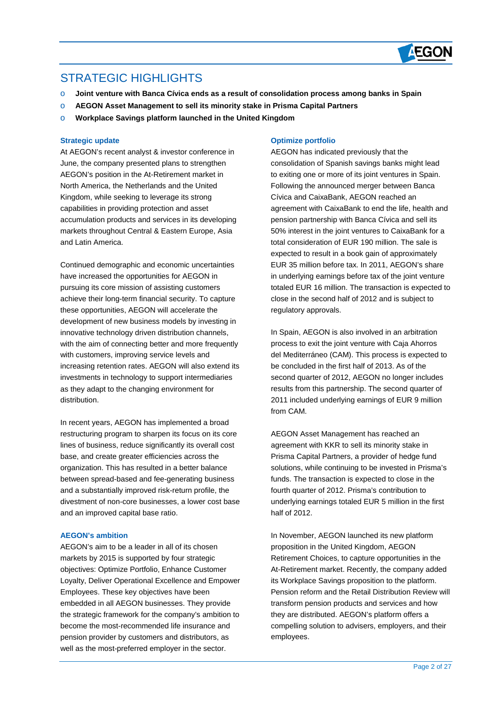

## STRATEGIC HIGHLIGHTS

- o **Joint venture with Banca Cívica ends as a result of consolidation process among banks in Spain**
- o **AEGON Asset Management to sell its minority stake in Prisma Capital Partners**
- o **Workplace Savings platform launched in the United Kingdom**

#### **Strategic update**

At AEGON's recent analyst & investor conference in June, the company presented plans to strengthen AEGON's position in the At-Retirement market in North America, the Netherlands and the United Kingdom, while seeking to leverage its strong capabilities in providing protection and asset accumulation products and services in its developing markets throughout Central & Eastern Europe, Asia and Latin America.

Continued demographic and economic uncertainties have increased the opportunities for AEGON in pursuing its core mission of assisting customers achieve their long-term financial security. To capture these opportunities, AEGON will accelerate the development of new business models by investing in innovative technology driven distribution channels, with the aim of connecting better and more frequently with customers, improving service levels and increasing retention rates. AEGON will also extend its investments in technology to support intermediaries as they adapt to the changing environment for distribution.

In recent years, AEGON has implemented a broad restructuring program to sharpen its focus on its core lines of business, reduce significantly its overall cost base, and create greater efficiencies across the organization. This has resulted in a better balance between spread-based and fee-generating business and a substantially improved risk-return profile, the divestment of non-core businesses, a lower cost base and an improved capital base ratio.

#### **AEGON's ambition**

AEGON's aim to be a leader in all of its chosen markets by 2015 is supported by four strategic objectives: Optimize Portfolio, Enhance Customer Loyalty, Deliver Operational Excellence and Empower Employees. These key objectives have been embedded in all AEGON businesses. They provide the strategic framework for the company's ambition to become the most-recommended life insurance and pension provider by customers and distributors, as well as the most-preferred employer in the sector.

#### **Optimize portfolio**

AEGON has indicated previously that the consolidation of Spanish savings banks might lead to exiting one or more of its joint ventures in Spain. Following the announced merger between Banca Cívica and CaixaBank, AEGON reached an agreement with CaixaBank to end the life, health and pension partnership with Banca Cívica and sell its 50% interest in the joint ventures to CaixaBank for a total consideration of EUR 190 million. The sale is expected to result in a book gain of approximately EUR 35 million before tax. In 2011, AEGON's share in underlying earnings before tax of the joint venture totaled EUR 16 million. The transaction is expected to close in the second half of 2012 and is subject to regulatory approvals.

In Spain, AEGON is also involved in an arbitration process to exit the joint venture with Caja Ahorros del Mediterráneo (CAM). This process is expected to be concluded in the first half of 2013. As of the second quarter of 2012, AEGON no longer includes results from this partnership. The second quarter of 2011 included underlying earnings of EUR 9 million from CAM.

AEGON Asset Management has reached an agreement with KKR to sell its minority stake in Prisma Capital Partners, a provider of hedge fund solutions, while continuing to be invested in Prisma's funds. The transaction is expected to close in the fourth quarter of 2012. Prisma's contribution to underlying earnings totaled EUR 5 million in the first half of 2012.

In November, AEGON launched its new platform proposition in the United Kingdom, AEGON Retirement Choices, to capture opportunities in the At-Retirement market. Recently, the company added its Workplace Savings proposition to the platform. Pension reform and the Retail Distribution Review will transform pension products and services and how they are distributed. AEGON's platform offers a compelling solution to advisers, employers, and their employees.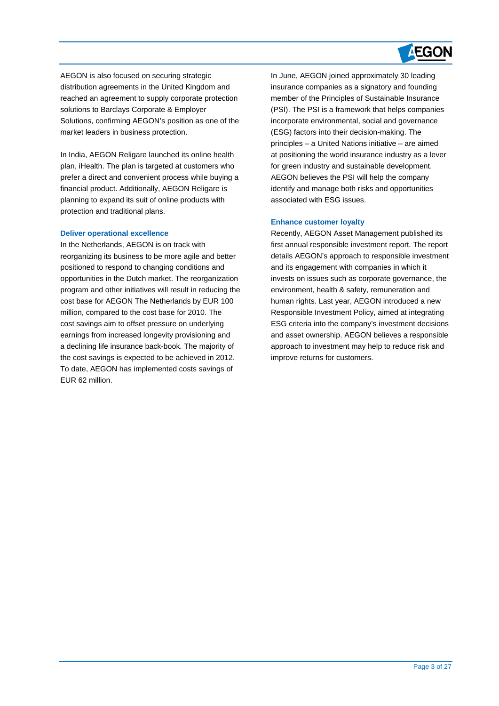

AEGON is also focused on securing strategic distribution agreements in the United Kingdom and reached an agreement to supply corporate protection solutions to Barclays Corporate & Employer Solutions, confirming AEGON's position as one of the market leaders in business protection.

In India, AEGON Religare launched its online health plan, iHealth. The plan is targeted at customers who prefer a direct and convenient process while buying a financial product. Additionally, AEGON Religare is planning to expand its suit of online products with protection and traditional plans.

#### **Deliver operational excellence**

In the Netherlands, AEGON is on track with reorganizing its business to be more agile and better positioned to respond to changing conditions and opportunities in the Dutch market. The reorganization program and other initiatives will result in reducing the cost base for AEGON The Netherlands by EUR 100 million, compared to the cost base for 2010. The cost savings aim to offset pressure on underlying earnings from increased longevity provisioning and a declining life insurance back-book. The majority of the cost savings is expected to be achieved in 2012. To date, AEGON has implemented costs savings of EUR 62 million.

In June, AEGON joined approximately 30 leading insurance companies as a signatory and founding member of the Principles of Sustainable Insurance (PSI). The PSI is a framework that helps companies incorporate environmental, social and governance (ESG) factors into their decision-making. The principles – a United Nations initiative – are aimed at positioning the world insurance industry as a lever for green industry and sustainable development. AEGON believes the PSI will help the company identify and manage both risks and opportunities associated with ESG issues.

#### **Enhance customer loyalty**

Recently, AEGON Asset Management published its first annual responsible investment report. The report details AEGON's approach to responsible investment and its engagement with companies in which it invests on issues such as corporate governance, the environment, health & safety, remuneration and human rights. Last year, AEGON introduced a new Responsible Investment Policy, aimed at integrating ESG criteria into the company's investment decisions and asset ownership. AEGON believes a responsible approach to investment may help to reduce risk and improve returns for customers.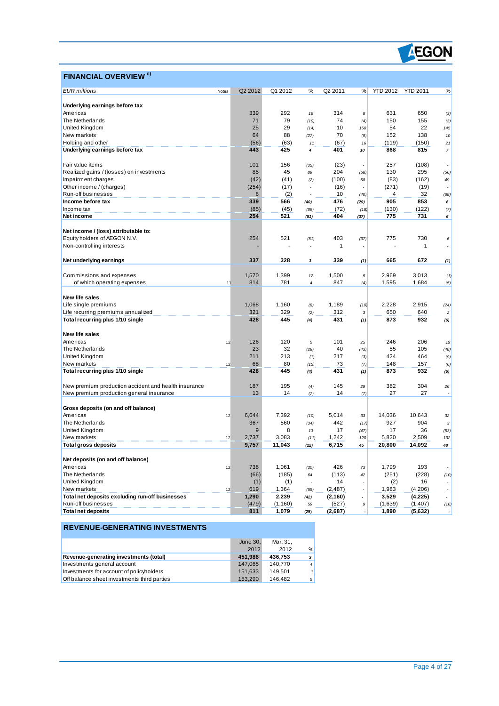

## **FINANCIAL OVERVIEW c)**

| <b>EUR</b> millions                                  | Notes | Q2 2012 | Q1 2012 | %              | Q2 2011  | %          | <b>YTD 2012</b> | <b>YTD 2011</b> | %                        |
|------------------------------------------------------|-------|---------|---------|----------------|----------|------------|-----------------|-----------------|--------------------------|
|                                                      |       |         |         |                |          |            |                 |                 |                          |
| Underlying earnings before tax<br>Americas           |       | 339     | 292     |                | 314      |            | 631             | 650             |                          |
|                                                      |       | 71      | 79      | 16             | 74       | 8          | 150             | 155             | (3)                      |
| The Netherlands                                      |       |         | 29      | (10)           | 10       | (4)        | 54              | 22              | (3)                      |
| United Kingdom                                       |       | 25      |         | (14)           |          | 150        |                 |                 | 145                      |
| New markets                                          |       | 64      | 88      | (27)           | 70       | (9)        | 152             | 138             | $10\,$                   |
| Holding and other                                    |       | (56)    | (63)    | 11             | (67)     | 16         | (119)           | (150)           | 21                       |
| Underlying earnings before tax                       |       | 443     | 425     | 4              | 401      | 10         | 868             | 815             | $\pmb{7}$                |
| Fair value items                                     |       | 101     | 156     | (35)           | (23)     |            | 257             | (108)           | $\overline{\phantom{a}}$ |
| Realized gains / (losses) on investments             |       | 85      | 45      | 89             | 204      | (58)       | 130             | 295             | (56)                     |
| Impairment charges                                   |       | (42)    | (41)    | (2)            | (100)    | 58         | (83)            | (162)           | 49                       |
| Other income / (charges)                             |       | (254)   | (17)    |                | (16)     |            | (271)           | (19)            | $\overline{a}$           |
| Run-off businesses                                   |       | 6       | (2)     |                | 10       | (40)       | 4               | 32              | (88)                     |
| Income before tax                                    |       | 339     | 566     | (40)           | 476      | (29)       | 905             | 853             | 6                        |
| Income tax                                           |       | (85)    | (45)    | (89)           | (72)     | (18)       | (130)           | (122)           | (7)                      |
| Net income                                           |       | 254     | 521     | (51)           | 404      | (37)       | 775             | 731             | 6                        |
|                                                      |       |         |         |                |          |            |                 |                 |                          |
| Net income / (loss) attributable to:                 |       |         |         |                |          |            |                 |                 |                          |
| Equity holders of AEGON N.V.                         |       | 254     | 521     | (51)           | 403      | (37)       | 775             | 730             | 6                        |
| Non-controlling interests                            |       |         |         |                | 1        |            |                 | 1               | $\overline{\phantom{a}}$ |
|                                                      |       | 337     | 328     |                | 339      |            | 665             | 672             |                          |
| Net underlying earnings                              |       |         |         | 3              |          | (1)        |                 |                 | (1)                      |
| Commissions and expenses                             |       | 1,570   | 1,399   | 12             | 1,500    | $\sqrt{5}$ | 2,969           | 3,013           | (1)                      |
| of which operating expenses                          | 11    | 814     | 781     | $\overline{4}$ | 847      | (4)        | 1,595           | 1,684           | (5)                      |
|                                                      |       |         |         |                |          |            |                 |                 |                          |
| <b>New life sales</b>                                |       |         |         |                |          |            |                 |                 |                          |
| Life single premiums                                 |       | 1,068   | 1,160   | (8)            | 1,189    | (10)       | 2,228           | 2,915           | (24)                     |
| Life recurring premiums annualized                   |       | 321     | 329     | (2)            | 312      | 3          | 650             | 640             | $\overline{\mathbf{c}}$  |
| Total recurring plus 1/10 single                     |       | 428     | 445     | (4)            | 431      | (1)        | 873             | 932             | (6)                      |
|                                                      |       |         |         |                |          |            |                 |                 |                          |
| New life sales                                       |       |         |         |                |          |            |                 |                 |                          |
| Americas                                             | 12    | 126     | 120     | 5              | 101      | 25         | 246             | 206             | 19                       |
| The Netherlands                                      |       | 23      | 32      | (28)           | 40       | (43)       | 55              | 105             | (48)                     |
| United Kingdom                                       |       | 211     | 213     | (1)            | 217      | (3)        | 424             | 464             | (9)                      |
| New markets                                          | 12    | 68      | 80      | (15)           | 73       | (7)        | 148             | 157             | (6)                      |
| Total recurring plus 1/10 single                     |       | 428     | 445     | (4)            | 431      | (1)        | 873             | 932             | (6)                      |
| New premium production accident and health insurance |       | 187     | 195     | (4)            | 145      | 29         | 382             | 304             | 26                       |
| New premium production general insurance             |       | 13      | 14      | (7)            | 14       | (7)        | 27              | 27              | J.                       |
|                                                      |       |         |         |                |          |            |                 |                 |                          |
| Gross deposits (on and off balance)                  |       |         |         |                |          |            |                 |                 |                          |
| Americas                                             | 12    | 6,644   | 7,392   | (10)           | 5,014    | 33         | 14,036          | 10,643          | 32                       |
| The Netherlands                                      |       | 367     | 560     | (34)           | 442      | (17)       | 927             | 904             | $\sqrt{3}$               |
| United Kingdom                                       |       | 9       | 8       | 13             | 17       | (47)       | 17              | 36              | (53)                     |
| New markets                                          | 12    | 2,737   | 3,083   | (11)           | 1,242    | 120        | 5,820           | 2,509           | 132                      |
| <b>Total gross deposits</b>                          |       | 9,757   | 11,043  | (12)           | 6,715    | 45         | 20,800          | 14,092          | 48                       |
|                                                      |       |         |         |                |          |            |                 |                 |                          |
| Net deposits (on and off balance)                    |       |         |         |                |          |            |                 |                 |                          |
| Americas                                             | 12    | 738     | 1,061   | (30)           | 426      | 73         | 1,799           | 193             |                          |
| The Netherlands                                      |       | (66)    | (185)   | 64             | (113)    | 42         | (251)           | (228)           | (10)                     |
| United Kingdom                                       |       | (1)     | (1)     |                | 14       |            | (2)             | 16              |                          |
| New markets                                          | 12    | 619     | 1,364   | (55)           | (2, 487) |            | 1,983           | (4,206)         | ÷                        |
| Total net deposits excluding run-off businesses      |       | 1,290   | 2,239   | (42)           | (2, 160) |            | 3,529           | (4, 225)        | $\overline{a}$           |
| Run-off businesses                                   |       | (479)   | (1,160) | 59             | (527)    | 9          | (1,639)         | (1, 407)        | (16)                     |
| <b>Total net deposits</b>                            |       | 811     | 1,079   | (25)           | (2,687)  |            | 1,890           | (5,632)         |                          |

#### **REVENUE-GENERATING INVESTMENTS**

|                                             | June 30, | Mar. 31. |                      |
|---------------------------------------------|----------|----------|----------------------|
|                                             | 2012     | 2012     | $\frac{0}{0}$        |
| Revenue-generating investments (total)      | 451.988  | 436.753  | $\boldsymbol{\cdot}$ |
| Investments general account                 | 147.065  | 140.770  | $\overline{\bf{4}}$  |
| Investments for account of policyholders    | 151.633  | 149.501  |                      |
| Off balance sheet investments third parties | 153.290  | 146.482  | 5                    |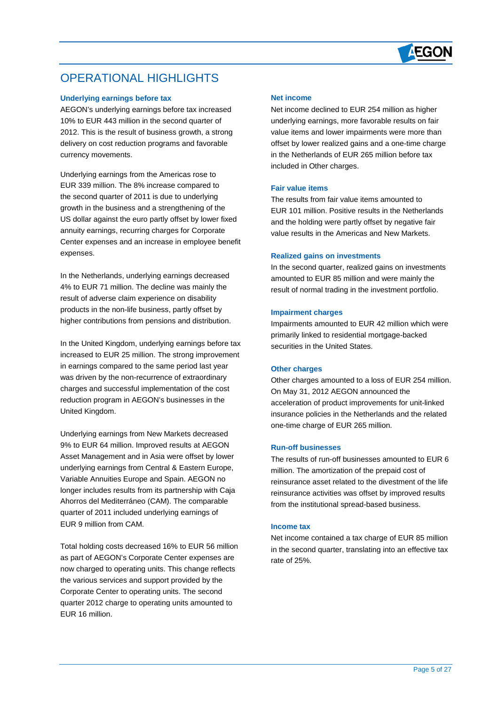

# OPERATIONAL HIGHLIGHTS

#### **Underlying earnings before tax**

AEGON's underlying earnings before tax increased 10% to EUR 443 million in the second quarter of 2012. This is the result of business growth, a strong delivery on cost reduction programs and favorable currency movements.

Underlying earnings from the Americas rose to EUR 339 million. The 8% increase compared to the second quarter of 2011 is due to underlying growth in the business and a strengthening of the US dollar against the euro partly offset by lower fixed annuity earnings, recurring charges for Corporate Center expenses and an increase in employee benefit expenses.

In the Netherlands, underlying earnings decreased 4% to EUR 71 million. The decline was mainly the result of adverse claim experience on disability products in the non-life business, partly offset by higher contributions from pensions and distribution.

In the United Kingdom, underlying earnings before tax increased to EUR 25 million. The strong improvement in earnings compared to the same period last year was driven by the non-recurrence of extraordinary charges and successful implementation of the cost reduction program in AEGON's businesses in the United Kingdom.

Underlying earnings from New Markets decreased 9% to EUR 64 million. Improved results at AEGON Asset Management and in Asia were offset by lower underlying earnings from Central & Eastern Europe, Variable Annuities Europe and Spain. AEGON no longer includes results from its partnership with Caja Ahorros del Mediterráneo (CAM). The comparable quarter of 2011 included underlying earnings of EUR 9 million from CAM.

Total holding costs decreased 16% to EUR 56 million as part of AEGON's Corporate Center expenses are now charged to operating units. This change reflects the various services and support provided by the Corporate Center to operating units. The second quarter 2012 charge to operating units amounted to EUR 16 million.

#### **Net income**

Net income declined to EUR 254 million as higher underlying earnings, more favorable results on fair value items and lower impairments were more than offset by lower realized gains and a one-time charge in the Netherlands of EUR 265 million before tax included in Other charges.

#### **Fair value items**

The results from fair value items amounted to EUR 101 million. Positive results in the Netherlands and the holding were partly offset by negative fair value results in the Americas and New Markets.

#### **Realized gains on investments**

In the second quarter, realized gains on investments amounted to EUR 85 million and were mainly the result of normal trading in the investment portfolio.

#### **Impairment charges**

Impairments amounted to EUR 42 million which were primarily linked to residential mortgage-backed securities in the United States.

#### **Other charges**

Other charges amounted to a loss of EUR 254 million. On May 31, 2012 AEGON announced the acceleration of product improvements for unit-linked insurance policies in the Netherlands and the related one-time charge of EUR 265 million.

#### **Run-off businesses**

The results of run-off businesses amounted to EUR 6 million. The amortization of the prepaid cost of reinsurance asset related to the divestment of the life reinsurance activities was offset by improved results from the institutional spread-based business.

#### **Income tax**

Net income contained a tax charge of EUR 85 million in the second quarter, translating into an effective tax rate of 25%.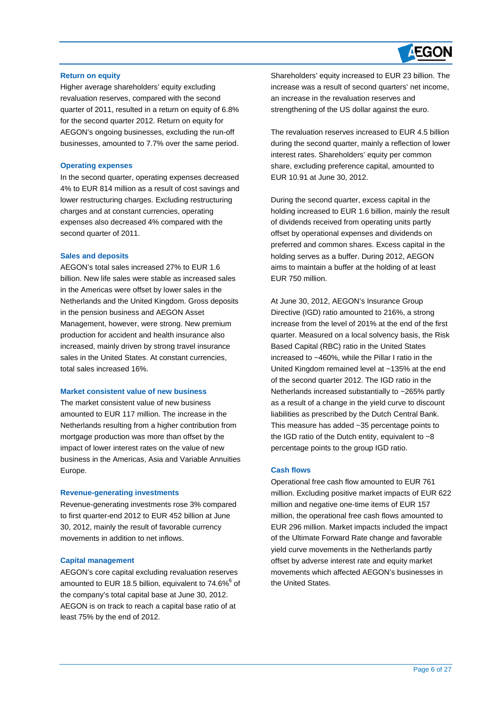

#### **Return on equity**

Higher average shareholders' equity excluding revaluation reserves, compared with the second quarter of 2011, resulted in a return on equity of 6.8% for the second quarter 2012. Return on equity for AEGON's ongoing businesses, excluding the run-off businesses, amounted to 7.7% over the same period.

#### **Operating expenses**

In the second quarter, operating expenses decreased 4% to EUR 814 million as a result of cost savings and lower restructuring charges. Excluding restructuring charges and at constant currencies, operating expenses also decreased 4% compared with the second quarter of 2011.

#### **Sales and deposits**

AEGON's total sales increased 27% to EUR 1.6 billion. New life sales were stable as increased sales in the Americas were offset by lower sales in the Netherlands and the United Kingdom. Gross deposits in the pension business and AEGON Asset Management, however, were strong. New premium production for accident and health insurance also increased, mainly driven by strong travel insurance sales in the United States. At constant currencies, total sales increased 16%.

#### **Market consistent value of new business**

The market consistent value of new business amounted to EUR 117 million. The increase in the Netherlands resulting from a higher contribution from mortgage production was more than offset by the impact of lower interest rates on the value of new business in the Americas, Asia and Variable Annuities Europe.

#### **Revenue-generating investments**

Revenue-generating investments rose 3% compared to first quarter-end 2012 to EUR 452 billion at June 30, 2012, mainly the result of favorable currency movements in addition to net inflows.

#### **Capital management**

AEGON's core capital excluding revaluation reserves amounted to EUR 18.5 billion, equivalent to 74.6%<sup>6</sup> of the company's total capital base at June 30, 2012. AEGON is on track to reach a capital base ratio of at least 75% by the end of 2012.

Shareholders' equity increased to EUR 23 billion. The increase was a result of second quarters' net income, an increase in the revaluation reserves and strengthening of the US dollar against the euro.

The revaluation reserves increased to EUR 4.5 billion during the second quarter, mainly a reflection of lower interest rates. Shareholders' equity per common share, excluding preference capital, amounted to EUR 10.91 at June 30, 2012.

During the second quarter, excess capital in the holding increased to EUR 1.6 billion, mainly the result of dividends received from operating units partly offset by operational expenses and dividends on preferred and common shares. Excess capital in the holding serves as a buffer. During 2012, AEGON aims to maintain a buffer at the holding of at least EUR 750 million.

At June 30, 2012, AEGON's Insurance Group Directive (IGD) ratio amounted to 216%, a strong increase from the level of 201% at the end of the first quarter. Measured on a local solvency basis, the Risk Based Capital (RBC) ratio in the United States increased to ~460%, while the Pillar I ratio in the United Kingdom remained level at ~135% at the end of the second quarter 2012. The IGD ratio in the Netherlands increased substantially to ~265% partly as a result of a change in the yield curve to discount liabilities as prescribed by the Dutch Central Bank. This measure has added ~35 percentage points to the IGD ratio of the Dutch entity, equivalent to  $\sim8$ percentage points to the group IGD ratio.

#### **Cash flows**

Operational free cash flow amounted to EUR 761 million. Excluding positive market impacts of EUR 622 million and negative one-time items of EUR 157 million, the operational free cash flows amounted to EUR 296 million. Market impacts included the impact of the Ultimate Forward Rate change and favorable yield curve movements in the Netherlands partly offset by adverse interest rate and equity market movements which affected AEGON's businesses in the United States.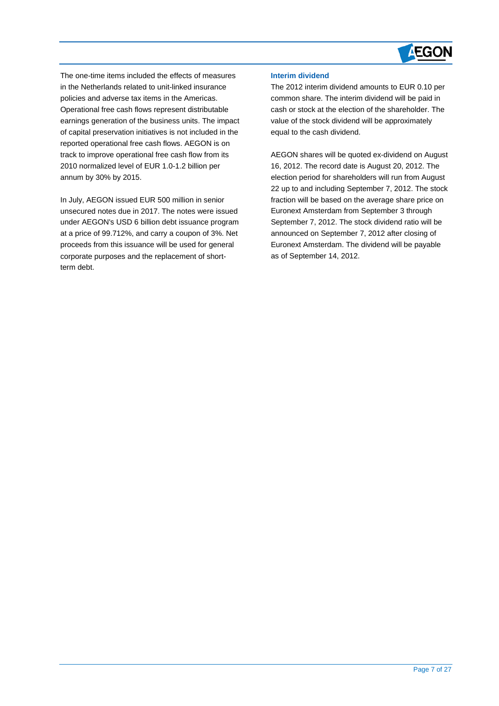

The one-time items included the effects of measures in the Netherlands related to unit-linked insurance policies and adverse tax items in the Americas. Operational free cash flows represent distributable earnings generation of the business units. The impact of capital preservation initiatives is not included in the reported operational free cash flows. AEGON is on track to improve operational free cash flow from its 2010 normalized level of EUR 1.0-1.2 billion per annum by 30% by 2015.

In July, AEGON issued EUR 500 million in senior unsecured notes due in 2017. The notes were issued under AEGON's USD 6 billion debt issuance program at a price of 99.712%, and carry a coupon of 3%. Net proceeds from this issuance will be used for general corporate purposes and the replacement of shortterm debt.

#### **Interim dividend**

The 2012 interim dividend amounts to EUR 0.10 per common share. The interim dividend will be paid in cash or stock at the election of the shareholder. The value of the stock dividend will be approximately equal to the cash dividend.

AEGON shares will be quoted ex-dividend on August 16, 2012. The record date is August 20, 2012. The election period for shareholders will run from August 22 up to and including September 7, 2012. The stock fraction will be based on the average share price on Euronext Amsterdam from September 3 through September 7, 2012. The stock dividend ratio will be announced on September 7, 2012 after closing of Euronext Amsterdam. The dividend will be payable as of September 14, 2012.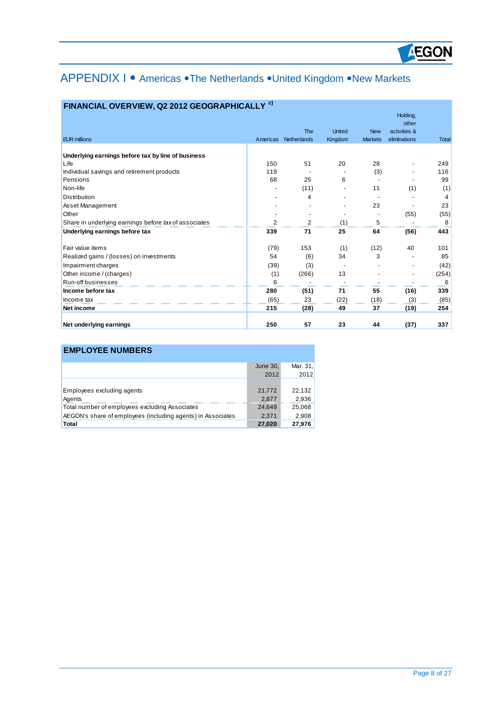# APPENDIX I · Americas · The Netherlands · United Kingdom · New Markets

| <b>EUR millions</b>                                   | Americas | <b>The</b><br>Netherlands | <b>United</b><br>Kingdom | <b>New</b><br><b>Markets</b> | Holding,<br>other<br>activities &<br>eliminations | Total |
|-------------------------------------------------------|----------|---------------------------|--------------------------|------------------------------|---------------------------------------------------|-------|
|                                                       |          |                           |                          |                              |                                                   |       |
| Underlying earnings before tax by line of business    |          |                           |                          |                              |                                                   |       |
| Life                                                  | 150      | 51                        | 20                       | 28                           |                                                   | 249   |
| Individual savings and retirement products            | 119      |                           |                          | (3)                          |                                                   | 116   |
| Pensions                                              | 68       | 25                        | 6                        |                              |                                                   | 99    |
| Non-life                                              |          | (11)                      |                          | 11                           | (1)                                               | (1)   |
| <b>Distribution</b>                                   |          | 4                         |                          |                              |                                                   | 4     |
| Asset Management                                      |          |                           |                          | 23                           |                                                   | 23    |
| Other                                                 |          |                           |                          |                              | (55)                                              | (55)  |
| Share in underlying earnings before tax of associates | 2        | 2                         | (1)                      | 5                            |                                                   | 8     |
| Underlying earnings before tax                        | 339      | 71                        | 25                       | 64                           | (56)                                              | 443   |
| Fair value items                                      | (79)     | 153                       | (1)                      | (12)                         | 40                                                | 101   |
| Realized gains / (losses) on investments              | 54       | (6)                       | 34                       | 3                            |                                                   | 85    |
| Impairment charges                                    | (39)     | (3)                       |                          |                              |                                                   | (42)  |
| Other income / (charges)                              | (1)      | (266)                     | 13                       |                              |                                                   | (254) |
| Run-off businesses                                    | 6        |                           |                          |                              |                                                   | 6     |
| Income before tax                                     | 280      | (51)                      | 71                       | 55                           | (16)                                              | 339   |
| Income tax                                            | (65)     | 23                        | (22)                     | (18)                         | (3)                                               | (85)  |
| Net income                                            | 215      | (28)                      | 49                       | 37                           | (19)                                              | 254   |
| Net underlying earnings                               | 250      | 57                        | 23                       | 44                           | (37)                                              | 337   |

## **FINANCIAL OVERVIEW, Q2 2012 GEOGRAPHICALLY c)**

## **EMPLOYEE NUMBERS**

|                                                             | June 30, | Mar. 31, |
|-------------------------------------------------------------|----------|----------|
|                                                             | 2012     | 2012     |
|                                                             |          |          |
| Employees excluding agents                                  | 21,772   | 22.132   |
| Agents                                                      | 2.877    | 2.936    |
| Total number of employees excluding Associates              | 24.649   | 25,068   |
| AEGON's share of employees (including agents) in Associates | 2.371    | 2.908    |
| <b>Total</b>                                                | 27,020   | 27.976   |

**AEGON**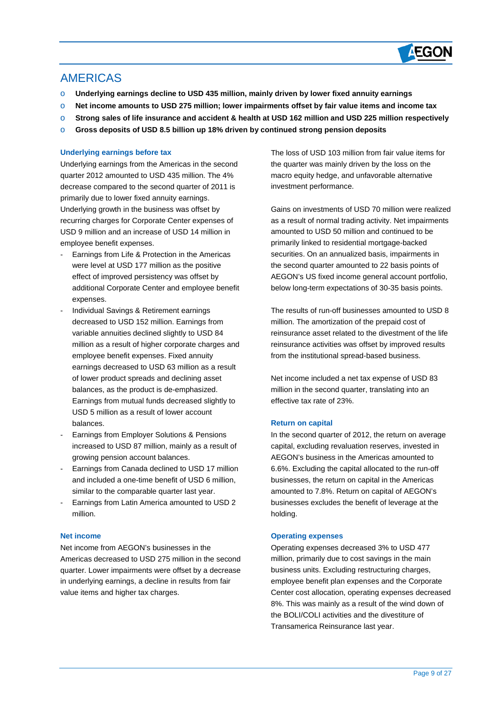

## AMERICAS

- o **Underlying earnings decline to USD 435 million, mainly driven by lower fixed annuity earnings**
- o **Net income amounts to USD 275 million; lower impairments offset by fair value items and income tax**
- o **Strong sales of life insurance and accident & health at USD 162 million and USD 225 million respectively**
- o **Gross deposits of USD 8.5 billion up 18% driven by continued strong pension deposits**

#### **Underlying earnings before tax**

Underlying earnings from the Americas in the second quarter 2012 amounted to USD 435 million. The 4% decrease compared to the second quarter of 2011 is primarily due to lower fixed annuity earnings. Underlying growth in the business was offset by recurring charges for Corporate Center expenses of USD 9 million and an increase of USD 14 million in employee benefit expenses.

- Earnings from Life & Protection in the Americas were level at USD 177 million as the positive effect of improved persistency was offset by additional Corporate Center and employee benefit expenses.
- Individual Savings & Retirement earnings decreased to USD 152 million. Earnings from variable annuities declined slightly to USD 84 million as a result of higher corporate charges and employee benefit expenses. Fixed annuity earnings decreased to USD 63 million as a result of lower product spreads and declining asset balances, as the product is de-emphasized. Earnings from mutual funds decreased slightly to USD 5 million as a result of lower account balances.
- Earnings from Employer Solutions & Pensions increased to USD 87 million, mainly as a result of growing pension account balances.
- Earnings from Canada declined to USD 17 million and included a one-time benefit of USD 6 million, similar to the comparable quarter last year.
- Earnings from Latin America amounted to USD 2 million.

#### **Net income**

Net income from AEGON's businesses in the Americas decreased to USD 275 million in the second quarter. Lower impairments were offset by a decrease in underlying earnings, a decline in results from fair value items and higher tax charges.

The loss of USD 103 million from fair value items for the quarter was mainly driven by the loss on the macro equity hedge, and unfavorable alternative investment performance.

Gains on investments of USD 70 million were realized as a result of normal trading activity. Net impairments amounted to USD 50 million and continued to be primarily linked to residential mortgage-backed securities. On an annualized basis, impairments in the second quarter amounted to 22 basis points of AEGON's US fixed income general account portfolio, below long-term expectations of 30-35 basis points.

The results of run-off businesses amounted to USD 8 million. The amortization of the prepaid cost of reinsurance asset related to the divestment of the life reinsurance activities was offset by improved results from the institutional spread-based business.

Net income included a net tax expense of USD 83 million in the second quarter, translating into an effective tax rate of 23%.

#### **Return on capital**

In the second quarter of 2012, the return on average capital, excluding revaluation reserves, invested in AEGON's business in the Americas amounted to 6.6%. Excluding the capital allocated to the run-off businesses, the return on capital in the Americas amounted to 7.8%. Return on capital of AEGON's businesses excludes the benefit of leverage at the holding.

#### **Operating expenses**

Operating expenses decreased 3% to USD 477 million, primarily due to cost savings in the main business units. Excluding restructuring charges, employee benefit plan expenses and the Corporate Center cost allocation, operating expenses decreased 8%. This was mainly as a result of the wind down of the BOLI/COLI activities and the divestiture of Transamerica Reinsurance last year.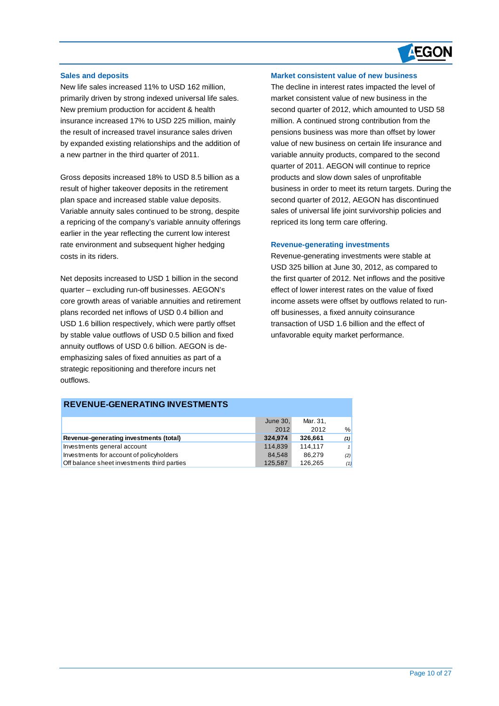

#### **Sales and deposits**

New life sales increased 11% to USD 162 million, primarily driven by strong indexed universal life sales. New premium production for accident & health insurance increased 17% to USD 225 million, mainly the result of increased travel insurance sales driven by expanded existing relationships and the addition of a new partner in the third quarter of 2011.

Gross deposits increased 18% to USD 8.5 billion as a result of higher takeover deposits in the retirement plan space and increased stable value deposits. Variable annuity sales continued to be strong, despite a repricing of the company's variable annuity offerings earlier in the year reflecting the current low interest rate environment and subsequent higher hedging costs in its riders.

Net deposits increased to USD 1 billion in the second quarter – excluding run-off businesses. AEGON's core growth areas of variable annuities and retirement plans recorded net inflows of USD 0.4 billion and USD 1.6 billion respectively, which were partly offset by stable value outflows of USD 0.5 billion and fixed annuity outflows of USD 0.6 billion. AEGON is deemphasizing sales of fixed annuities as part of a strategic repositioning and therefore incurs net outflows.

#### **Market consistent value of new business**

The decline in interest rates impacted the level of market consistent value of new business in the second quarter of 2012, which amounted to USD 58 million. A continued strong contribution from the pensions business was more than offset by lower value of new business on certain life insurance and variable annuity products, compared to the second quarter of 2011. AEGON will continue to reprice products and slow down sales of unprofitable business in order to meet its return targets. During the second quarter of 2012, AEGON has discontinued sales of universal life joint survivorship policies and repriced its long term care offering.

#### **Revenue-generating investments**

Revenue-generating investments were stable at USD 325 billion at June 30, 2012, as compared to the first quarter of 2012. Net inflows and the positive effect of lower interest rates on the value of fixed income assets were offset by outflows related to runoff businesses, a fixed annuity coinsurance transaction of USD 1.6 billion and the effect of unfavorable equity market performance.

#### **REVENUE-GENERATING INVESTMENTS**

|                                             | June 30, | Mar. 31. |              |
|---------------------------------------------|----------|----------|--------------|
|                                             | 2012     | 2012     | $\%$         |
| Revenue-generating investments (total)      | 324,974  | 326.661  | (1)          |
| Investments general account                 | 114.839  | 114.117  | $\mathbf{1}$ |
| Investments for account of policyholders    | 84.548   | 86.279   | (2)          |
| Off balance sheet investments third parties | 125.587  | 126.265  | (1)          |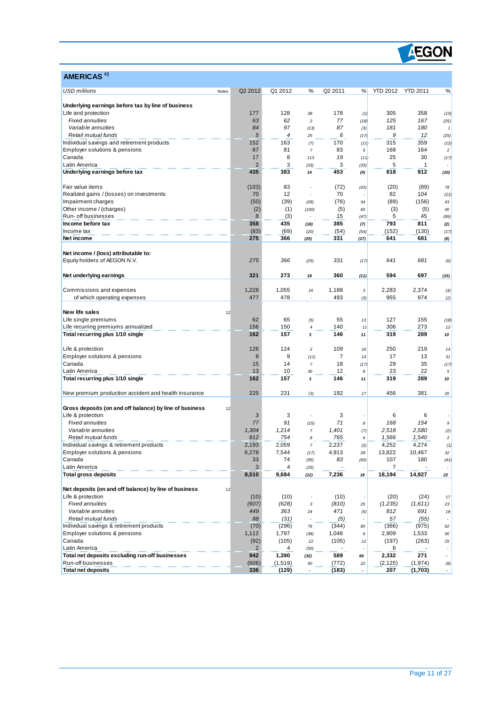

| AMERICAS <sup>c)</sup>                                  |       |                |         |                          |         |                          |                 |                 |                          |
|---------------------------------------------------------|-------|----------------|---------|--------------------------|---------|--------------------------|-----------------|-----------------|--------------------------|
| <b>USD millions</b>                                     | Notes | Q2 2012        | Q1 2012 | %                        | Q2 2011 | %                        | <b>YTD 2012</b> | <b>YTD 2011</b> | %                        |
| Underlying earnings before tax by line of business      |       |                |         |                          |         |                          |                 |                 |                          |
| Life and protection                                     |       | 177            | 128     | 38                       | 178     | (1)                      | 305             | 358             | (15)                     |
| <b>Fixed annuities</b>                                  |       | 63             | 62      | $\overline{c}$           | 77      | (18)                     | 125             | 167             | (25)                     |
| Variable annuities                                      |       | 84             | 97      | (13)                     | 87      | (3)                      | 181             | 180             | 1                        |
| Retail mutual funds                                     |       | 5              | 4       | 25                       | 6       | (17)                     | 9               | 12              | (25)                     |
| Individual savings and retirement products              |       | 152            | 163     | (7)                      | 170     | (11)                     | 315             | 359             | (12)                     |
| Employer solutions & pensions                           |       | 87             | 81      | $\overline{7}$           | 83      | 5                        | 168             | 164             | $\overline{c}$           |
| Canada                                                  |       | 17             | 8       | 113                      | 19      | (11)                     | 25              | 30              | (17)                     |
| Latin America                                           |       | $\overline{2}$ | 3       | (33)                     | 3       | (33)                     | 5               | 1               |                          |
| Underlying earnings before tax                          |       | 435            | 383     | 14                       | 453     | (4)                      | 818             | 912             | (10)                     |
| Fair value items                                        |       | (103)          | 83      | $\overline{a}$           | (72)    | (43)                     | (20)            | (89)            | 78                       |
| Realized gains / (losses) on investments                |       | 70             | 12      | $\overline{\phantom{a}}$ | 70      |                          | 82              | 104             | (21)                     |
| Impairment charges                                      |       | (50)           | (39)    | (28)                     | (76)    | 34                       | (89)            | (156)           | 43                       |
| Other income / (charges)                                |       | (2)            | (1)     | (100)                    | (5)     | 60                       | (3)             | (5)             | 40                       |
| Run- off businesses                                     |       | 8              | (3)     |                          | 15      | (47)                     | 5               | 45              | (89)                     |
| Income before tax                                       |       | 358            | 435     | (18)                     | 385     | (7)                      | 793             | 811             | (2)                      |
| Income tax                                              |       | (83)           | (69)    | (20)                     | (54)    | (54)                     | (152)           | (130)           | (17)                     |
| Net income                                              |       | 275            | 366     | (25)                     | 331     | (17)                     | 641             | 681             | (6)                      |
| Net income / (loss) attributable to:                    |       |                |         |                          |         |                          |                 |                 |                          |
| Equity holders of AEGON N.V.                            |       | 275            | 366     | (25)                     | 331     | (17)                     | 641             | 681             | (6)                      |
| Net underlying earnings                                 |       | 321            | 273     | 18                       | 360     | (11)                     | 594             | 697             | (15)                     |
| Commissions and expenses                                |       | 1,228          | 1,055   |                          | 1,188   | 3                        | 2,283           | 2,374           |                          |
|                                                         |       | 477            | 478     | 16                       | 493     |                          | 955             | 974             | (4)                      |
| of which operating expenses                             |       |                |         |                          |         | (3)                      |                 |                 | (2)                      |
| New life sales                                          | 12    |                |         |                          |         |                          |                 |                 |                          |
| Life single premiums                                    |       | 62             | 65      | (5)                      | 55      | 13                       | 127             | 155             | (18)                     |
| Life recurring premiums annualized                      |       | 156            | 150     | 4                        | 140     | 11                       | 306             | 273             | 12                       |
| Total recurring plus 1/10 single                        |       | 162            | 157     | 3                        | 146     | 11                       | 319             | 289             | 10                       |
| Life & protection                                       |       | 126            | 124     | $\overline{c}$           | 109     | 16                       | 250             | 219             | 14                       |
| Employer solutions & pensions                           |       | 8              | 9       | (11)                     | 7       | 14                       | 17              | 13              | 31                       |
| Canada                                                  |       | 15             | 14      | $\overline{7}$           | 18      | (17)                     | 29              | 35              | (17)                     |
| Latin America                                           |       | 13             | 10      | 30                       | 12      | 8                        | 23              | 22              | 5                        |
| Total recurring plus 1/10 single                        |       | 162            | 157     | 3                        | 146     | 11                       | 319             | 289             | 10                       |
| New premium production accident and health insurance    |       | 225            | 231     | (3)                      | 192     | 17                       | 456             | 381             | 20                       |
| Gross deposits (on and off balance) by line of business | 12    |                |         |                          |         |                          |                 |                 |                          |
| Life & protection                                       |       | 3              | 3       |                          | 3       |                          | 6               | 6               |                          |
| <b>Fixed annuities</b>                                  |       | 77             | 91      | (15)                     | 71      | 8                        | 168             | 154             | $\boldsymbol{9}$         |
| Variable annuities                                      |       | 1,304          | 1,214   | $\overline{7}$           | 1,401   | (7)                      | 2,518           | 2,580           | (2)                      |
| Retail mutual funds                                     |       | 812            | 754     | 8                        | 765     | 6                        | 1,566           | 1,540           | $\boldsymbol{2}$         |
| Individual savings & retirement products                |       | 2,193          | 2,059   | $\overline{7}$           | 2,237   | (2)                      | 4,252           | 4,274           | (1)                      |
| Employer solutions & pensions                           |       | 6,278          | 7,544   | (17)                     | 4,913   | 28                       | 13,822          | 10,467          | 32                       |
| Canada                                                  |       | 33             | 74      | (55)                     | 83      | (60)                     | 107             | 180             | (41)                     |
| Latin America                                           |       | 3              | 4       | (25)                     |         |                          | 7               |                 |                          |
| <b>Total gross deposits</b>                             |       | 8,510          | 9,684   | (12)                     | 7,236   | 18                       | 18,194          | 14,927          | 22                       |
| Net deposits (on and off balance) by line of business   | 12    |                |         |                          |         |                          |                 |                 |                          |
| Life & protection                                       |       | (10)           | (10)    |                          | (10)    |                          | (20)            | (24)            | 17                       |
| <b>Fixed annuities</b>                                  |       | (607)          | (628)   | $\sqrt{3}$               | (810)   | 25                       | (1,235)         | (1,611)         | 23                       |
| Variable annuities                                      |       | 449            | 363     | 24                       | 471     | (5)                      | 812             | 691             | 18                       |
| Retail mutual funds                                     |       | 88             | (31)    |                          | (5)     |                          | 57              | (55)            |                          |
| Individual savings & retirement products                |       | (70)           | (296)   | 76                       | (344)   | 80                       | (366)           | (975)           | 62                       |
| Employer solutions & pensions                           |       | 1,112          | 1,797   | (38)                     | 1,048   | 6                        | 2,909           | 1,533           | 90                       |
| Canada                                                  |       | (92)           | (105)   | 12                       | (105)   | $12\,$                   | (197)           | (263)           | 25                       |
| Latin America                                           |       | $\overline{2}$ | 4       | (50)                     |         |                          | 6               |                 |                          |
| Total net deposits excluding run-off businesses         |       | 942            | 1,390   | (32)                     | 589     | 60                       | 2,332           | 271             | $\overline{\phantom{a}}$ |
| Run-off businesses                                      |       | (606)          | (1,519) | 60                       | (772)   | 22                       | (2, 125)        | (1, 974)        | (8)                      |
| <b>Total net deposits</b>                               |       | 336            | (129)   |                          | (183)   | $\overline{\phantom{a}}$ | 207             | (1,703)         | $\sim$                   |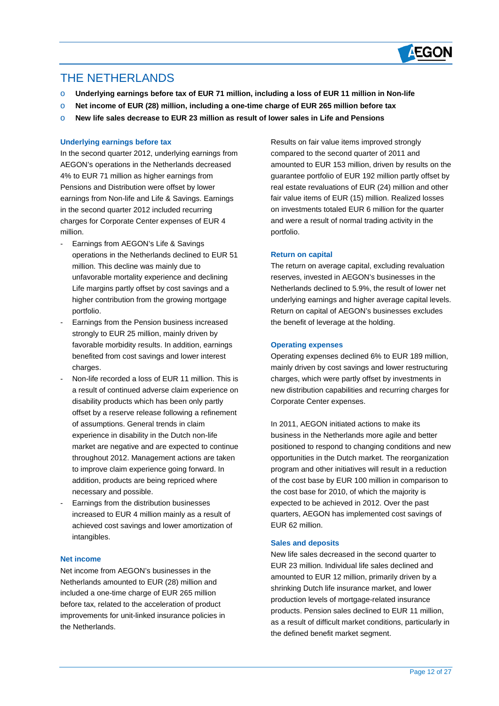

## THE NETHERLANDS

- o **Underlying earnings before tax of EUR 71 million, including a loss of EUR 11 million in Non-life**
- o **Net income of EUR (28) million, including a one-time charge of EUR 265 million before tax**
- o **New life sales decrease to EUR 23 million as result of lower sales in Life and Pensions**

#### **Underlying earnings before tax**

In the second quarter 2012, underlying earnings from AEGON's operations in the Netherlands decreased 4% to EUR 71 million as higher earnings from Pensions and Distribution were offset by lower earnings from Non-life and Life & Savings. Earnings in the second quarter 2012 included recurring charges for Corporate Center expenses of EUR 4 million.

- Earnings from AEGON's Life & Savings operations in the Netherlands declined to EUR 51 million. This decline was mainly due to unfavorable mortality experience and declining Life margins partly offset by cost savings and a higher contribution from the growing mortgage portfolio.
- Earnings from the Pension business increased strongly to EUR 25 million, mainly driven by favorable morbidity results. In addition, earnings benefited from cost savings and lower interest charges
- Non-life recorded a loss of EUR 11 million. This is a result of continued adverse claim experience on disability products which has been only partly offset by a reserve release following a refinement of assumptions. General trends in claim experience in disability in the Dutch non-life market are negative and are expected to continue throughout 2012. Management actions are taken to improve claim experience going forward. In addition, products are being repriced where necessary and possible.
- Earnings from the distribution businesses increased to EUR 4 million mainly as a result of achieved cost savings and lower amortization of intangibles.

#### **Net income**

Net income from AEGON's businesses in the Netherlands amounted to EUR (28) million and included a one-time charge of EUR 265 million before tax, related to the acceleration of product improvements for unit-linked insurance policies in the Netherlands.

Results on fair value items improved strongly compared to the second quarter of 2011 and amounted to EUR 153 million, driven by results on the guarantee portfolio of EUR 192 million partly offset by real estate revaluations of EUR (24) million and other fair value items of EUR (15) million. Realized losses on investments totaled EUR 6 million for the quarter and were a result of normal trading activity in the portfolio.

#### **Return on capital**

The return on average capital, excluding revaluation reserves, invested in AEGON's businesses in the Netherlands declined to 5.9%, the result of lower net underlying earnings and higher average capital levels. Return on capital of AEGON's businesses excludes the benefit of leverage at the holding.

#### **Operating expenses**

Operating expenses declined 6% to EUR 189 million, mainly driven by cost savings and lower restructuring charges, which were partly offset by investments in new distribution capabilities and recurring charges for Corporate Center expenses.

In 2011, AEGON initiated actions to make its business in the Netherlands more agile and better positioned to respond to changing conditions and new opportunities in the Dutch market. The reorganization program and other initiatives will result in a reduction of the cost base by EUR 100 million in comparison to the cost base for 2010, of which the majority is expected to be achieved in 2012. Over the past quarters, AEGON has implemented cost savings of EUR 62 million.

#### **Sales and deposits**

New life sales decreased in the second quarter to EUR 23 million. Individual life sales declined and amounted to EUR 12 million, primarily driven by a shrinking Dutch life insurance market, and lower production levels of mortgage-related insurance products. Pension sales declined to EUR 11 million, as a result of difficult market conditions, particularly in the defined benefit market segment.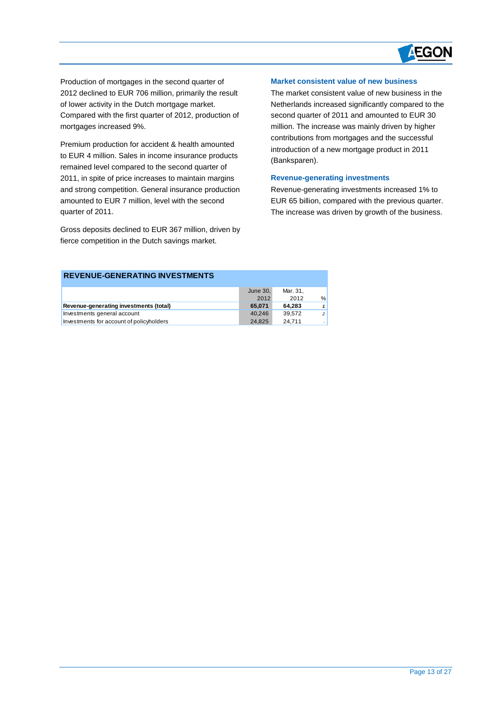

Production of mortgages in the second quarter of 2012 declined to EUR 706 million, primarily the result of lower activity in the Dutch mortgage market. Compared with the first quarter of 2012, production of mortgages increased 9%.

Premium production for accident & health amounted to EUR 4 million. Sales in income insurance products remained level compared to the second quarter of 2011, in spite of price increases to maintain margins and strong competition. General insurance production amounted to EUR 7 million, level with the second quarter of 2011.

Gross deposits declined to EUR 367 million, driven by fierce competition in the Dutch savings market.

#### **Market consistent value of new business**

The market consistent value of new business in the Netherlands increased significantly compared to the second quarter of 2011 and amounted to EUR 30 million. The increase was mainly driven by higher contributions from mortgages and the successful introduction of a new mortgage product in 2011 (Banksparen).

#### **Revenue-generating investments**

Revenue-generating investments increased 1% to EUR 65 billion, compared with the previous quarter. The increase was driven by growth of the business.

#### **REVENUE-GENERATING INVESTMENTS**

|                                          | June 30. | Mar. 31. |                |
|------------------------------------------|----------|----------|----------------|
|                                          | 2012     | 2012     | %              |
| Revenue-generating investments (total)   | 65.071   | 64.283   | 1              |
| Investments general account              | 40.246   | 39.572   | $\mathfrak{p}$ |
| Investments for account of policyholders | 24.825   | 24.711   |                |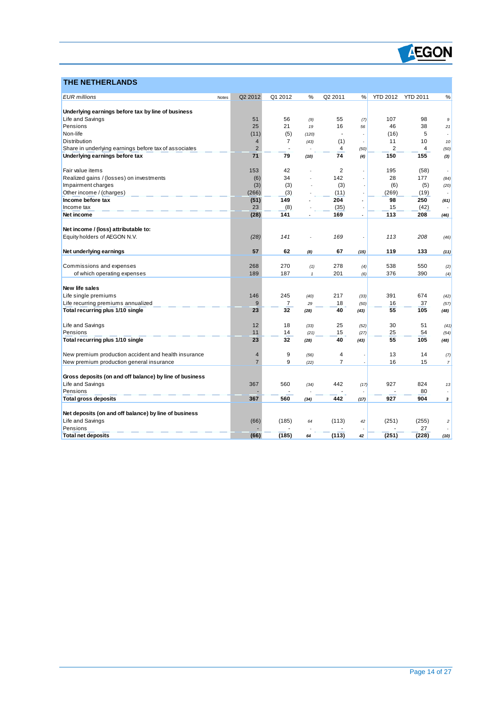

## **THE NETHERLANDS**

| <b>EUR</b> millions<br>Notes                            | Q2 2012        | Q1 2012        | %                   | Q2 2011        | %              |                | YTD 2012 YTD 2011 | %                        |
|---------------------------------------------------------|----------------|----------------|---------------------|----------------|----------------|----------------|-------------------|--------------------------|
|                                                         |                |                |                     |                |                |                |                   |                          |
| Underlying earnings before tax by line of business      |                |                |                     |                |                |                |                   |                          |
| Life and Savings                                        | 51             | 56             | (9)                 | 55             | (7)            | 107            | 98                | 9                        |
| Pensions                                                | 25             | 21             | 19                  | 16             | 56             | 46             | 38                | 21                       |
| Non-life                                                | (11)           | (5)            | (120)               |                |                | (16)           | 5                 | $\overline{\phantom{a}}$ |
| <b>Distribution</b>                                     | $\overline{4}$ | $\overline{7}$ | (43)                | (1)            | ÷              | 11             | 10                | 10                       |
| Share in underlying earnings before tax of associates   | $\overline{2}$ |                |                     | 4              | (50)           | $\overline{2}$ | 4                 | (50)                     |
| Underlying earnings before tax                          | 71             | 79             | (10)                | 74             | (4)            | 150            | 155               | (3)                      |
| Fair value items                                        | 153            | 42             |                     | 2              | ÷,             | 195            | (58)              | $\overline{\phantom{a}}$ |
| Realized gains / (losses) on investments                | (6)            | 34             |                     | 142            | ÷,             | 28             | 177               | (84)                     |
| Impairment charges                                      | (3)            | (3)            |                     | (3)            |                | (6)            | (5)               | (20)                     |
| Other income / (charges)                                | (266)          | (3)            |                     | (11)           | Ĭ.             | (269)          | (19)              |                          |
| Income before tax                                       | (51)           | 149            |                     | 204            | ٠              | 98             | 250               | (61)                     |
| Income tax                                              | 23             | (8)            |                     | (35)           | $\overline{a}$ | 15             | (42)              |                          |
| Net income                                              | (28)           | 141            |                     | 169            | $\overline{a}$ | 113            | 208               | (46)                     |
|                                                         |                |                |                     |                |                |                |                   |                          |
| Net income / (loss) attributable to:                    |                |                |                     |                |                |                |                   |                          |
| Equity holders of AEGON N.V.                            | (28)           | 141            |                     | 169            |                | 113            | 208               | (46)                     |
|                                                         |                |                |                     |                |                |                |                   |                          |
| Net underlying earnings                                 | 57             | 62             | (8)                 | 67             | (15)           | 119            | 133               | (11)                     |
| Commissions and expenses                                | 268            | 270            | (1)                 | 278            | (4)            | 538            | 550               | (2)                      |
| of which operating expenses                             | 189            | 187            | $\pmb{\mathcal{I}}$ | 201            | (6)            | 376            | 390               |                          |
|                                                         |                |                |                     |                |                |                |                   | (4)                      |
| New life sales                                          |                |                |                     |                |                |                |                   |                          |
| Life single premiums                                    | 146            | 245            | (40)                | 217            | (33)           | 391            | 674               | (42)                     |
| Life recurring premiums annualized                      | 9              | $\overline{7}$ | 29                  | 18             | (50)           | 16             | 37                | (57)                     |
| Total recurring plus 1/10 single                        | 23             | 32             | (28)                | 40             | (43)           | 55             | 105               | (48)                     |
| Life and Savings                                        | 12             | 18             | (33)                | 25             | (52)           | 30             | 51                | (41)                     |
| Pensions                                                | 11             | 14             | (21)                | 15             | (27)           | 25             | 54                | (54)                     |
| Total recurring plus 1/10 single                        | 23             | 32             | (28)                | 40             | (43)           | 55             | 105               | (48)                     |
|                                                         |                |                |                     |                |                |                |                   |                          |
| New premium production accident and health insurance    | $\overline{4}$ | 9              | (56)                | $\overline{4}$ |                | 13             | 14                | (7)                      |
| New premium production general insurance                | $\overline{7}$ | 9              | (22)                | $\overline{7}$ | ÷,             | 16             | 15                | $\overline{7}$           |
|                                                         |                |                |                     |                |                |                |                   |                          |
| Gross deposits (on and off balance) by line of business |                |                |                     |                |                |                |                   |                          |
| Life and Savings                                        | 367            | 560            | (34)                | 442            | (17)           | 927            | 824               | 13                       |
| Pensions                                                |                |                |                     |                |                |                | 80                | ÷                        |
| <b>Total gross deposits</b>                             | 367            | 560            | (34)                | 442            | (17)           | 927            | 904               | 3                        |
|                                                         |                |                |                     |                |                |                |                   |                          |
| Net deposits (on and off balance) by line of business   |                |                |                     |                |                |                |                   |                          |
| Life and Savings                                        | (66)           | (185)          | 64                  | (113)          | 42             | (251)          | (255)             | $\overline{\mathbf{c}}$  |
| Pensions                                                |                |                |                     |                |                |                | 27                | ÷,                       |
| <b>Total net deposits</b>                               | (66)           | (185)          | 64                  | (113)          | 42             | (251)          | (228)             | (10)                     |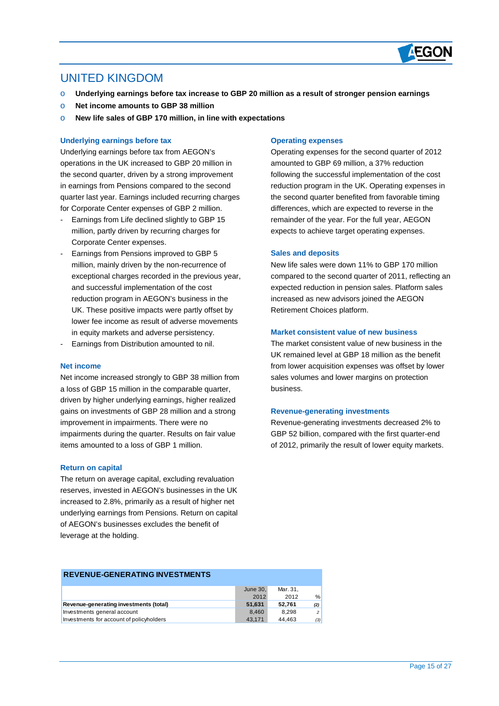# **AEGO**

## UNITED KINGDOM

- o **Underlying earnings before tax increase to GBP 20 million as a result of stronger pension earnings**
- o **Net income amounts to GBP 38 million**
- o **New life sales of GBP 170 million, in line with expectations**

#### **Underlying earnings before tax**

Underlying earnings before tax from AEGON's operations in the UK increased to GBP 20 million in the second quarter, driven by a strong improvement in earnings from Pensions compared to the second quarter last year. Earnings included recurring charges for Corporate Center expenses of GBP 2 million.

- Earnings from Life declined slightly to GBP 15 million, partly driven by recurring charges for Corporate Center expenses.
- Earnings from Pensions improved to GBP 5 million, mainly driven by the non-recurrence of exceptional charges recorded in the previous year, and successful implementation of the cost reduction program in AEGON's business in the UK. These positive impacts were partly offset by lower fee income as result of adverse movements in equity markets and adverse persistency.
- Earnings from Distribution amounted to nil.

#### **Net income**

Net income increased strongly to GBP 38 million from a loss of GBP 15 million in the comparable quarter, driven by higher underlying earnings, higher realized gains on investments of GBP 28 million and a strong improvement in impairments. There were no impairments during the quarter. Results on fair value items amounted to a loss of GBP 1 million.

#### **Return on capital**

The return on average capital, excluding revaluation reserves, invested in AEGON's businesses in the UK increased to 2.8%, primarily as a result of higher net underlying earnings from Pensions. Return on capital of AEGON's businesses excludes the benefit of leverage at the holding.

#### **Operating expenses**

Operating expenses for the second quarter of 2012 amounted to GBP 69 million, a 37% reduction following the successful implementation of the cost reduction program in the UK. Operating expenses in the second quarter benefited from favorable timing differences, which are expected to reverse in the remainder of the year. For the full year, AEGON expects to achieve target operating expenses.

#### **Sales and deposits**

New life sales were down 11% to GBP 170 million compared to the second quarter of 2011, reflecting an expected reduction in pension sales. Platform sales increased as new advisors joined the AEGON Retirement Choices platform.

#### **Market consistent value of new business**

The market consistent value of new business in the UK remained level at GBP 18 million as the benefit from lower acquisition expenses was offset by lower sales volumes and lower margins on protection business.

#### **Revenue-generating investments**

Revenue-generating investments decreased 2% to GBP 52 billion, compared with the first quarter-end of 2012, primarily the result of lower equity markets.

| <b>REVENUE-GENERATING INVESTMENTS</b>    |          |          |                |
|------------------------------------------|----------|----------|----------------|
|                                          | June 30. | Mar. 31. |                |
|                                          | 2012     | 2012     | %              |
| Revenue-generating investments (total)   | 51.631   | 52.761   | (2)            |
| Investments general account              | 8.460    | 8.298    | 2 <sup>1</sup> |
| Investments for account of policyholders | 43.171   | 44.463   | (3)            |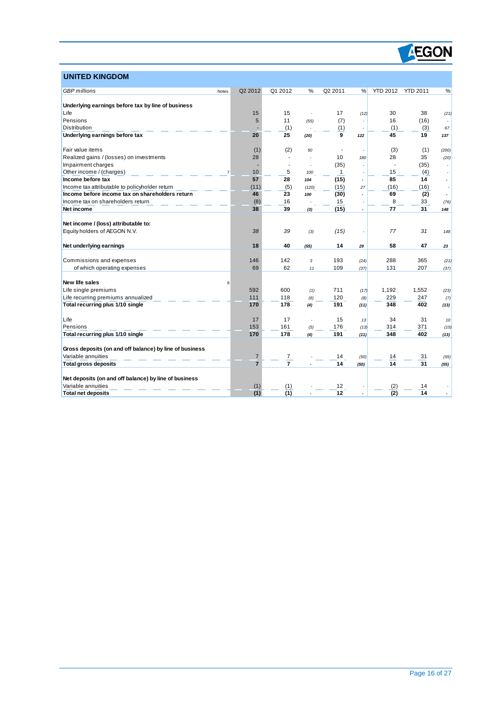# AEGON

### **UNITED KINGDOM**

| <b>GBP</b> millions                                     | <b>Notes</b>   | Q2 2012        | Q1 2012                  | %              | Q2 2011                  | %                        | <b>YTD 2012</b> | <b>YTD 2011</b> | %     |
|---------------------------------------------------------|----------------|----------------|--------------------------|----------------|--------------------------|--------------------------|-----------------|-----------------|-------|
|                                                         |                |                |                          |                |                          |                          |                 |                 |       |
| Underlying earnings before tax by line of business      |                |                |                          |                |                          |                          |                 |                 |       |
| Life                                                    |                | 15             | 15                       | $\overline{a}$ | 17                       | (12)                     | 30              | 38              | (21)  |
| Pensions                                                |                | 5              | 11                       | (55)           | (7)                      |                          | 16              | (16)            |       |
| <b>Distribution</b>                                     |                |                | (1)                      |                | (1)                      |                          | (1)             | (3)             | 67    |
| Underlying earnings before tax                          |                | 20             | 25                       | (20)           | 9                        | 122                      | 45              | 19              | 137   |
| Fair value items                                        |                | (1)            | (2)                      | 50             | $\overline{\phantom{a}}$ |                          | (3)             | (1)             | (200) |
| Realized gains / (losses) on investments                |                | 28             |                          |                | 10                       | 180                      | 28              | 35              | (20)  |
| Impairment charges                                      |                |                | $\overline{\phantom{a}}$ |                | (35)                     |                          |                 | (35)            |       |
| Other income / (charges)                                | $\overline{7}$ | 10             | 5                        | 100            | $\mathbf{1}$             |                          | 15              | (4)             | ٠     |
| Income before tax                                       |                | 57             | 28                       | 104            | (15)                     | $\overline{\phantom{a}}$ | 85              | 14              |       |
| Income tax attributable to policyholder return          |                | (11)           | (5)                      | (120)          | (15)                     | 27                       | (16)            | (16)            |       |
| Income before income tax on shareholders return         |                | 46             | 23                       | 100            | (30)                     |                          | 69              | (2)             |       |
| Income tax on shareholders return                       |                | (8)            | 16                       |                | 15                       |                          | 8               | 33              | (76)  |
| Net income                                              |                | 38             | 39                       | (3)            | (15)                     | $\overline{\phantom{a}}$ | 77              | 31              | 148   |
|                                                         |                |                |                          |                |                          |                          |                 |                 |       |
| Net income / (loss) attributable to:                    |                |                |                          |                |                          |                          |                 |                 |       |
| Equity holders of AEGON N.V.                            |                | 38             | 39                       | (3)            | (15)                     |                          | 77              | 31              | 148   |
|                                                         |                |                |                          |                |                          |                          |                 |                 |       |
| Net underlying earnings                                 |                | 18             | 40                       | (55)           | 14                       | 29                       | 58              | 47              | 23    |
|                                                         |                |                |                          |                |                          |                          |                 |                 |       |
| Commissions and expenses                                |                | 146            | 142                      | 3              | 193                      | (24)                     | 288             | 365             | (21)  |
| of which operating expenses                             |                | 69             | 62                       | 11             | 109                      | (37)                     | 131             | 207             | (37)  |
|                                                         |                |                |                          |                |                          |                          |                 |                 |       |
| New life sales                                          | 8              |                |                          |                |                          |                          |                 |                 |       |
| Life single premiums                                    |                | 592            | 600                      | (1)            | 711                      | (17)                     | 1,192           | 1,552           | (23)  |
| Life recurring premiums annualized                      |                | 111            | 118                      | (6)            | 120                      | (8)                      | 229             | 247             | (7)   |
| Total recurring plus 1/10 single                        |                | 170            | 178                      | (4)            | 191                      | (11)                     | 348             | 402             | (13)  |
|                                                         |                |                |                          |                |                          |                          |                 |                 |       |
| Life                                                    |                | 17             | 17                       |                | 15                       | 13                       | 34              | 31              | 10    |
| Pensions                                                |                | 153            | 161                      | (5)            | 176                      | (13)                     | 314             | 371             | (15)  |
| Total recurring plus 1/10 single                        |                | 170            | 178                      | (4)            | 191                      | (11)                     | 348             | 402             | (13)  |
|                                                         |                |                |                          |                |                          |                          |                 |                 |       |
| Gross deposits (on and off balance) by line of business |                |                |                          |                |                          |                          |                 |                 |       |
| Variable annuities                                      |                | $\overline{7}$ | $\frac{7}{7}$            |                | 14                       | (50)                     | 14              | 31              | (55)  |
| <b>Total gross deposits</b>                             |                | $\overline{7}$ |                          |                | 14                       | (50)                     | 14              | 31              | (55)  |
|                                                         |                |                |                          |                |                          |                          |                 |                 |       |
| Net deposits (on and off balance) by line of business   |                |                |                          |                |                          |                          |                 |                 |       |
| Variable annuities                                      |                | (1)            | (1)                      |                | 12                       |                          | (2)             | 14              |       |
| <b>Total net deposits</b>                               |                | (1)            | (1)                      |                | 12                       |                          | (2)             | 14              |       |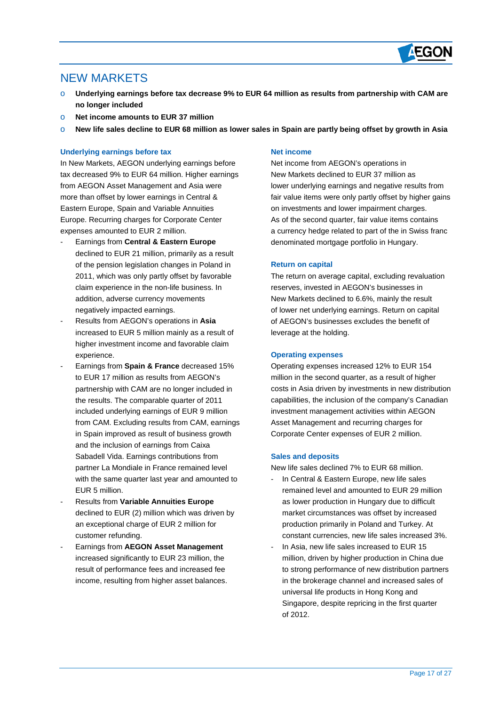

## NEW MARKETS

- o **Underlying earnings before tax decrease 9% to EUR 64 million as results from partnership with CAM are no longer included**
- o **Net income amounts to EUR 37 million**
- o **New life sales decline to EUR 68 million as lower sales in Spain are partly being offset by growth in Asia**

#### **Underlying earnings before tax**

In New Markets, AEGON underlying earnings before tax decreased 9% to EUR 64 million. Higher earnings from AEGON Asset Management and Asia were more than offset by lower earnings in Central & Eastern Europe, Spain and Variable Annuities Europe. Recurring charges for Corporate Center expenses amounted to EUR 2 million.

- Earnings from **Central & Eastern Europe** declined to EUR 21 million, primarily as a result of the pension legislation changes in Poland in 2011, which was only partly offset by favorable claim experience in the non-life business. In addition, adverse currency movements negatively impacted earnings.
- Results from AEGON's operations in **Asia** increased to EUR 5 million mainly as a result of higher investment income and favorable claim experience.
- Earnings from **Spain & France** decreased 15% to EUR 17 million as results from AEGON's partnership with CAM are no longer included in the results. The comparable quarter of 2011 included underlying earnings of EUR 9 million from CAM. Excluding results from CAM, earnings in Spain improved as result of business growth and the inclusion of earnings from Caixa Sabadell Vida. Earnings contributions from partner La Mondiale in France remained level with the same quarter last year and amounted to EUR 5 million.
- Results from **Variable Annuities Europe** declined to EUR (2) million which was driven by an exceptional charge of EUR 2 million for customer refunding.
- Earnings from **AEGON Asset Management** increased significantly to EUR 23 million, the result of performance fees and increased fee income, resulting from higher asset balances.

#### **Net income**

Net income from AEGON's operations in New Markets declined to EUR 37 million as lower underlying earnings and negative results from fair value items were only partly offset by higher gains on investments and lower impairment charges. As of the second quarter, fair value items contains a currency hedge related to part of the in Swiss franc denominated mortgage portfolio in Hungary.

#### **Return on capital**

The return on average capital, excluding revaluation reserves, invested in AEGON's businesses in New Markets declined to 6.6%, mainly the result of lower net underlying earnings. Return on capital of AEGON's businesses excludes the benefit of leverage at the holding.

#### **Operating expenses**

Operating expenses increased 12% to EUR 154 million in the second quarter, as a result of higher costs in Asia driven by investments in new distribution capabilities, the inclusion of the company's Canadian investment management activities within AEGON Asset Management and recurring charges for Corporate Center expenses of EUR 2 million.

#### **Sales and deposits**

New life sales declined 7% to EUR 68 million.

- In Central & Eastern Europe, new life sales remained level and amounted to EUR 29 million as lower production in Hungary due to difficult market circumstances was offset by increased production primarily in Poland and Turkey. At constant currencies, new life sales increased 3%.
- In Asia, new life sales increased to EUR 15 million, driven by higher production in China due to strong performance of new distribution partners in the brokerage channel and increased sales of universal life products in Hong Kong and Singapore, despite repricing in the first quarter of 2012.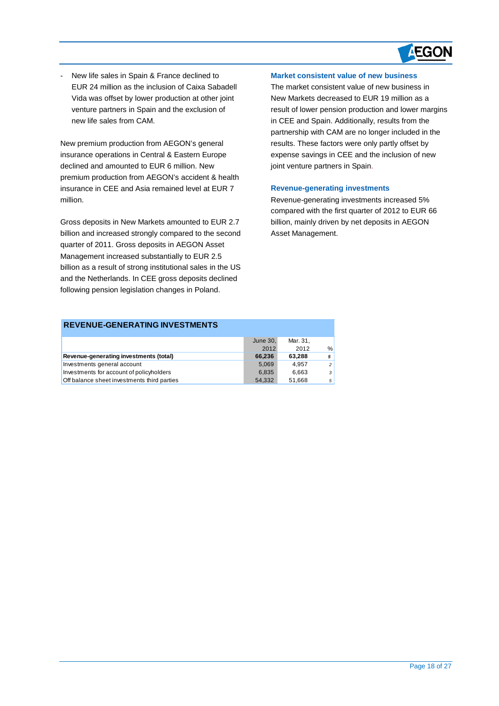

- New life sales in Spain & France declined to EUR 24 million as the inclusion of Caixa Sabadell Vida was offset by lower production at other joint venture partners in Spain and the exclusion of new life sales from CAM.

New premium production from AEGON's general insurance operations in Central & Eastern Europe declined and amounted to EUR 6 million. New premium production from AEGON's accident & health insurance in CEE and Asia remained level at EUR 7 million.

Gross deposits in New Markets amounted to EUR 2.7 billion and increased strongly compared to the second quarter of 2011. Gross deposits in AEGON Asset Management increased substantially to EUR 2.5 billion as a result of strong institutional sales in the US and the Netherlands. In CEE gross deposits declined following pension legislation changes in Poland.

#### **Market consistent value of new business**

The market consistent value of new business in New Markets decreased to EUR 19 million as a result of lower pension production and lower margins in CEE and Spain. Additionally, results from the partnership with CAM are no longer included in the results. These factors were only partly offset by expense savings in CEE and the inclusion of new joint venture partners in Spain.

#### **Revenue-generating investments**

Revenue-generating investments increased 5% compared with the first quarter of 2012 to EUR 66 billion, mainly driven by net deposits in AEGON Asset Management.

| <b>REVENUE-GENERATING INVESTMENTS</b>       |          |          |                         |
|---------------------------------------------|----------|----------|-------------------------|
|                                             | June 30, | Mar. 31. |                         |
|                                             | 2012     | 2012     | %                       |
| Revenue-generating investments (total)      | 66.236   | 63.288   | 5                       |
| Investments general account                 | 5,069    | 4.957    | $\overline{\mathbf{c}}$ |
| Investments for account of policyholders    | 6,835    | 6.663    | 3                       |
| Off balance sheet investments third parties | 54.332   | 51.668   | 5                       |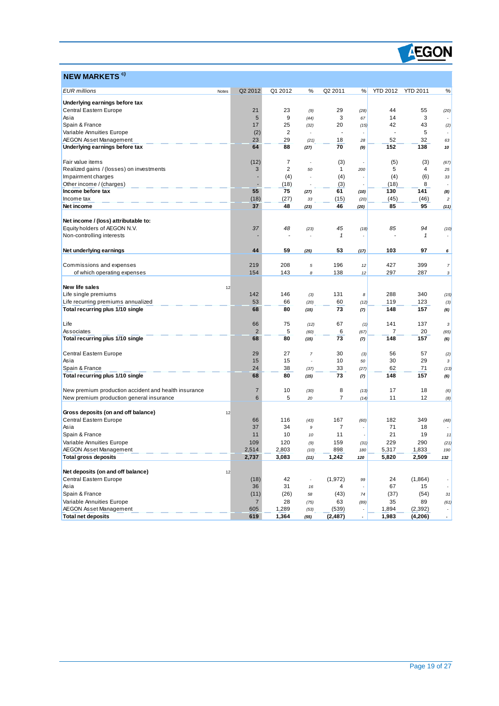# **EGON**

| <b>NEW MARKETS <sup>c)</sup></b>                     |       |                |                |                                    |                       |                          |                 |                 |                          |
|------------------------------------------------------|-------|----------------|----------------|------------------------------------|-----------------------|--------------------------|-----------------|-----------------|--------------------------|
| <b>EUR</b> millions                                  | Notes | Q2 2012        | Q1 2012        | %                                  | Q2 2011               | %                        | <b>YTD 2012</b> | <b>YTD 2011</b> | %                        |
| Underlying earnings before tax                       |       |                |                |                                    |                       |                          |                 |                 |                          |
| Central Eastern Europe                               |       | 21             | 23             | (9)                                | 29                    | (28)                     | 44              | 55              | (20)                     |
| Asia                                                 |       | 5              | 9              | (44)                               | 3                     | 67                       | 14              | 3               | $\overline{a}$           |
| Spain & France                                       |       | 17             | 25             | (32)                               | 20                    | (15)                     | 42              | 43              | (2)                      |
| Variable Annuities Europe                            |       | (2)            | $\overline{2}$ |                                    |                       |                          |                 | 5               | ÷,                       |
| AEGON Asset Management                               |       | 23<br>64       | 29<br>88       | (21)                               | 18<br>70              | 28                       | 52<br>152       | 32              | 63                       |
| Underlying earnings before tax                       |       |                |                | (27)                               |                       | (9)                      |                 | 138             | 10                       |
| Fair value items                                     |       | (12)           | $\overline{7}$ |                                    | (3)                   |                          | (5)             | (3)             | (67)                     |
| Realized gains / (losses) on investments             |       | 3              | $\overline{2}$ | 50                                 | $\mathbf{1}$          | 200                      | 5               | 4               | 25                       |
| Impairment charges                                   |       |                | (4)            |                                    | (4)                   |                          | (4)             | (6)             | 33                       |
| Other income / (charges)                             |       |                | (18)           |                                    | (3)                   |                          | (18)            | 8               | $\overline{\phantom{a}}$ |
| Income before tax                                    |       | 55             | 75             | (27)                               | 61                    | (10)                     | 130             | 141             | (8)                      |
| Income tax                                           |       | (18)           | (27)           | 33                                 | (15)                  | (20)                     | (45)            | (46)            | $\sqrt{2}$               |
| Net income                                           |       | 37             | 48             | (23)                               | 46                    | (20)                     | 85              | 95              | (11)                     |
| Net income / (loss) attributable to:                 |       |                |                |                                    |                       |                          |                 |                 |                          |
| Equity holders of AEGON N.V.                         |       | 37             | 48             | (23)                               | 45                    | (18)                     | 85              | 94              | (10)                     |
| Non-controlling interests                            |       |                |                |                                    | $\mathbf{1}$          |                          |                 | $\mathbf{1}$    |                          |
|                                                      |       |                |                |                                    |                       |                          |                 |                 |                          |
| Net underlying earnings                              |       | 44             | 59             | (25)                               | 53                    | (17)                     | 103             | 97              | 6                        |
|                                                      |       |                |                |                                    |                       |                          |                 |                 |                          |
| Commissions and expenses                             |       | 219            | 208            | $\sqrt{5}$                         | 196                   | 12                       | 427             | 399             | $\boldsymbol{7}$         |
| of which operating expenses                          |       | 154            | 143            | 8                                  | 138                   | 12                       | 297             | 287             | 3                        |
| <b>New life sales</b>                                |       |                |                |                                    |                       |                          |                 |                 |                          |
| Life single premiums                                 | 12    | 142            | 146            | (3)                                | 131                   | 8                        | 288             | 340             | (15)                     |
| Life recurring premiums annualized                   |       | 53             | 66             | (20)                               | 60                    | (12)                     | 119             | 123             | (3)                      |
| Total recurring plus 1/10 single                     |       | 68             | 80             | (15)                               | 73                    | (7)                      | 148             | 157             | (6)                      |
|                                                      |       |                |                |                                    |                       |                          |                 |                 |                          |
| Life                                                 |       | 66             | 75             | (12)                               | 67                    | (1)                      | 141             | 137             | 3                        |
| Associates                                           |       | $\overline{2}$ | 5              | (60)                               | 6                     | (67)                     | $\overline{7}$  | 20              | (65)                     |
| Total recurring plus 1/10 single                     |       | 68             | 80             | (15)                               | 73                    | (7)                      | 148             | 157             | (6)                      |
|                                                      |       |                |                |                                    |                       |                          |                 |                 |                          |
| Central Eastern Europe<br>Asia                       |       | 29<br>15       | 27<br>15       | $\boldsymbol{7}$<br>$\overline{a}$ | 30<br>10              | (3)                      | 56<br>30        | 57<br>29        | (2)                      |
| Spain & France                                       |       | 24             | 38             | (37)                               | 33                    | 50<br>(27)               | 62              | 71              | 3<br>(13)                |
| Total recurring plus 1/10 single                     |       | 68             | 80             | (15)                               | 73                    | (7)                      | 148             | 157             | (6)                      |
|                                                      |       |                |                |                                    |                       |                          |                 |                 |                          |
| New premium production accident and health insurance |       | $\overline{7}$ | 10             | (30)                               | 8                     | (13)                     | 17              | 18              | (6)                      |
| New premium production general insurance             |       | 6              | 5              | 20                                 | $\overline{7}$        | (14)                     | 11              | 12              | (8)                      |
|                                                      |       |                |                |                                    |                       |                          |                 |                 |                          |
| Gross deposits (on and off balance)                  | 12    |                |                |                                    |                       |                          |                 |                 |                          |
| <b>Central Eastern Europe</b>                        |       | 66             | 116            | (43)                               | 167<br>$\overline{7}$ | (60)                     | 182             | 349             | (48)                     |
| Asia<br>Spain & France                               |       | 37<br>11       | 34<br>10       | 9                                  | 11                    |                          | 71<br>21        | 18<br>19        |                          |
| Variable Annuities Europe                            |       | 109            | 120            | 10                                 | 159                   | (31)                     | 229             | 290             | 11                       |
| <b>AEGON Asset Management</b>                        |       | 2,514          | 2,803          | (9)<br>(10)                        | 898                   | 180                      | 5,317           | 1,833           | (21)<br>190              |
| <b>Total gross deposits</b>                          |       | 2,737          | 3,083          | (11)                               | 1,242                 | 120                      | 5,820           | 2,509           | 132                      |
|                                                      |       |                |                |                                    |                       |                          |                 |                 |                          |
| Net deposits (on and off balance)                    | 12    |                |                |                                    |                       |                          |                 |                 |                          |
| <b>Central Eastern Europe</b>                        |       | (18)           | 42             |                                    | (1, 972)              | 99                       | 24              | (1,864)         | $\overline{\phantom{a}}$ |
| Asia                                                 |       | 36             | 31             | 16                                 | 4                     |                          | 67              | 15              | $\overline{\phantom{a}}$ |
| Spain & France                                       |       | (11)           | (26)           | 58                                 | (43)                  | 74                       | (37)            | (54)            | 31                       |
| Variable Annuities Europe                            |       | $\overline{7}$ | 28             | (75)                               | 63                    | (89)                     | 35              | 89              | (61)                     |
| <b>AEGON Asset Management</b>                        |       | 605            | 1,289          | (53)                               | (539)                 |                          | 1,894           | (2,392)         | $\sim$                   |
| <b>Total net deposits</b>                            |       | 619            | 1,364          | (55)                               | (2, 487)              | $\overline{\phantom{a}}$ | 1,983           | (4,206)         | $\overline{\phantom{a}}$ |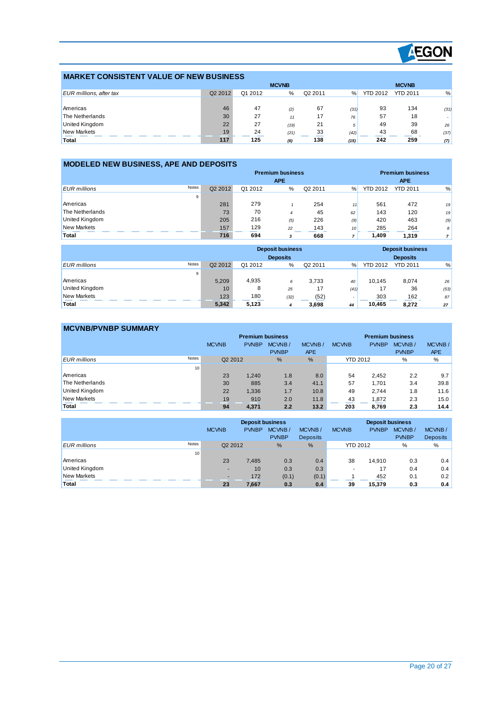

### **MARKET CONSISTENT VALUE OF NEW BUSINESS**

|                         |         |         | <b>MCVNB</b> |                     |      |                 | <b>MCVNB</b>    |      |
|-------------------------|---------|---------|--------------|---------------------|------|-----------------|-----------------|------|
| EUR millions, after tax | Q2 2012 | Q1 2012 | %            | Q <sub>2</sub> 2011 | $\%$ | <b>YTD 2012</b> | <b>YTD 2011</b> | %    |
|                         |         |         |              |                     |      |                 |                 |      |
| Americas                | 46      | 47      | (2)          | 67                  | (31) | 93              | 134             | (31) |
| The Netherlands         | 30      | 27      | 11           | 17                  | 76   | 57              | 18              |      |
| United Kingdom          | 22      | 27      | (19)         | 21                  | 5    | 49              | 39              | 26   |
| <b>New Markets</b>      | 19      | 24      | (21)         | 33                  | (42) | 43              | 68              | (37) |
| Total                   | 117     | 125     | (6)          | 138                 | (15) | 242             | 259             | (7)  |

#### **MODELED NEW BUSINESS, APE AND DEPOSITS**

|                              | <b>Premium business</b> |         |            |         |     | <b>Premium business</b> |                 |                |  |
|------------------------------|-------------------------|---------|------------|---------|-----|-------------------------|-----------------|----------------|--|
|                              |                         |         | <b>APE</b> |         |     |                         | <b>APE</b>      |                |  |
| Notes<br><b>EUR</b> millions | Q2 2012                 | Q1 2012 | %          | Q2 2011 | %   | <b>YTD 2012</b>         | <b>YTD 2011</b> | %              |  |
| 9                            |                         |         |            |         |     |                         |                 |                |  |
| Americas                     | 281                     | 279     |            | 254     | 11  | 561                     | 472             | 19             |  |
| The Netherlands              | 73                      | 70      | 4          | 45      | 62  | 143                     | 120             | 19             |  |
| <b>United Kingdom</b>        | 205                     | 216     | (5)        | 226     | (9) | 420                     | 463             | (9)            |  |
| New Markets                  | 157                     | 129     | 22         | 143     | 10  | 285                     | 264             | 8 <sup>1</sup> |  |
| Total                        | 716                     | 694     |            | 668     |     | 1,409                   | 1.319           | $\overline{7}$ |  |

|                              | <b>Deposit business</b> |         |                 |         |                          | <b>Deposit business</b> |                 |      |
|------------------------------|-------------------------|---------|-----------------|---------|--------------------------|-------------------------|-----------------|------|
|                              |                         |         | <b>Deposits</b> |         |                          | <b>Deposits</b>         |                 |      |
| Notes<br><b>EUR</b> millions | Q2 2012                 | Q1 2012 | %               | Q2 2011 | %                        | <b>YTD 2012</b>         | <b>YTD 2011</b> | %    |
| 9                            |                         |         |                 |         |                          |                         |                 |      |
| Americas                     | 5,209                   | 4,935   | 6               | 3,733   | 40                       | 10.145                  | 8,074           | 26   |
| <b>United Kingdom</b>        | 10                      | 8       | 25              | 17      | (41)                     | 17                      | 36              | (53) |
| <b>New Markets</b>           | 123                     | 180     | (32)            | (52)    | $\overline{\phantom{0}}$ | 303                     | 162             | 87   |
| Total                        | 5,342                   | 5,123   | 4               | 3,698   | 44                       | 10,465                  | 8,272           | 27   |

### **MCVNB/PVNBP SUMMARY**

|                              | <b>Premium business</b> |              |                        |                      | <b>Premium business</b> |              |                        |               |
|------------------------------|-------------------------|--------------|------------------------|----------------------|-------------------------|--------------|------------------------|---------------|
|                              | <b>MCVNB</b>            | <b>PVNBP</b> | MCVNB/<br><b>PVNBP</b> | MCVNB/<br><b>APE</b> | <b>MCVNB</b>            | <b>PVNBP</b> | MCVNB/<br><b>PVNBP</b> | MCVNB/<br>APE |
| Notes<br><b>EUR</b> millions | Q <sub>2</sub> 2012     |              | $\frac{9}{6}$          | %                    | <b>YTD 2012</b>         |              | %                      | %             |
| 10                           |                         |              |                        |                      |                         |              |                        |               |
| Americas                     | 23                      | 1.240        | 1.8                    | 8.0                  | 54                      | 2.452        | 2.2                    | 9.7           |
| The Netherlands              | 30                      | 885          | 3.4                    | 41.1                 | 57                      | 1.701        | 3.4                    | 39.8          |
| <b>United Kingdom</b>        | 22                      | 1,336        | 1.7                    | 10.8                 | 49                      | 2.744        | 1.8                    | 11.6          |
| <b>New Markets</b>           | 19                      | 910          | 2.0                    | 11.8                 | 43                      | 1,872        | 2.3                    | 15.0          |
| Total                        | 94                      | 4,371        | 2.2                    | 13.2                 | 203                     | 8.769        | 2.3                    | 14.4          |

|                              |              | <b>Deposit business</b> |              |                 | <b>Deposit business</b> |              |              |                 |
|------------------------------|--------------|-------------------------|--------------|-----------------|-------------------------|--------------|--------------|-----------------|
|                              | <b>MCVNB</b> | <b>PVNBP</b>            | MCVNB/       | MCVNB/          | <b>MCVNB</b>            | <b>PVNBP</b> | MCVNB/       | MCVNB/          |
|                              |              |                         | <b>PVNBP</b> | <b>Deposits</b> |                         |              | <b>PVNBP</b> | <b>Deposits</b> |
| Notes<br><b>EUR</b> millions | Q2 2012      |                         | $\%$         | %               | YTD 2012                |              | %            | %               |
| 10                           |              |                         |              |                 |                         |              |              |                 |
| Americas                     | 23           | 7.485                   | 0.3          | 0.4             | 38                      | 14.910       | 0.3          | 0.4             |
| <b>United Kingdom</b>        | -            | 10                      | 0.3          | 0.3             |                         | 17           | 0.4          | 0.4             |
| <b>New Markets</b>           |              | 172                     | (0.1)        | (0.1)           |                         | 452          | 0.1          | 0.2             |
| Total                        | 23           | 7,667                   | 0.3          | 0.4             | 39                      | 15,379       | 0.3          | 0.4             |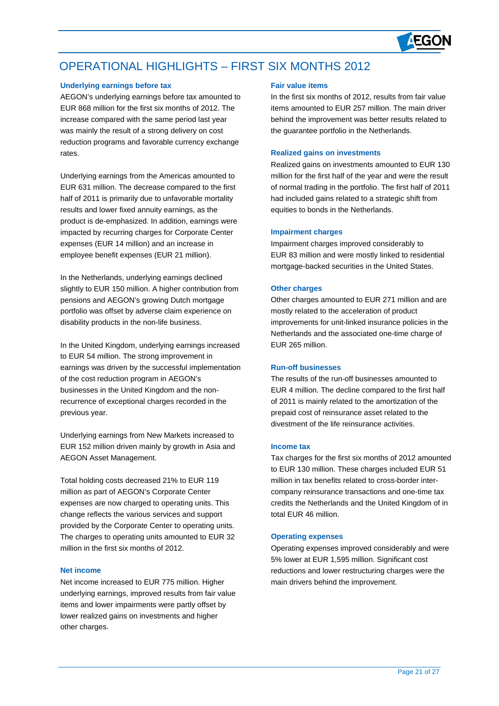

# OPERATIONAL HIGHLIGHTS – FIRST SIX MONTHS 2012

#### **Underlying earnings before tax**

AEGON's underlying earnings before tax amounted to EUR 868 million for the first six months of 2012. The increase compared with the same period last year was mainly the result of a strong delivery on cost reduction programs and favorable currency exchange rates.

Underlying earnings from the Americas amounted to EUR 631 million. The decrease compared to the first half of 2011 is primarily due to unfavorable mortality results and lower fixed annuity earnings, as the product is de-emphasized. In addition, earnings were impacted by recurring charges for Corporate Center expenses (EUR 14 million) and an increase in employee benefit expenses (EUR 21 million).

In the Netherlands, underlying earnings declined slightly to EUR 150 million. A higher contribution from pensions and AEGON's growing Dutch mortgage portfolio was offset by adverse claim experience on disability products in the non-life business.

In the United Kingdom, underlying earnings increased to EUR 54 million. The strong improvement in earnings was driven by the successful implementation of the cost reduction program in AEGON's businesses in the United Kingdom and the nonrecurrence of exceptional charges recorded in the previous year.

Underlying earnings from New Markets increased to EUR 152 million driven mainly by growth in Asia and AEGON Asset Management.

Total holding costs decreased 21% to EUR 119 million as part of AEGON's Corporate Center expenses are now charged to operating units. This change reflects the various services and support provided by the Corporate Center to operating units. The charges to operating units amounted to EUR 32 million in the first six months of 2012.

#### **Net income**

Net income increased to EUR 775 million. Higher underlying earnings, improved results from fair value items and lower impairments were partly offset by lower realized gains on investments and higher other charges.

#### **Fair value items**

In the first six months of 2012, results from fair value items amounted to EUR 257 million. The main driver behind the improvement was better results related to the guarantee portfolio in the Netherlands.

#### **Realized gains on investments**

Realized gains on investments amounted to EUR 130 million for the first half of the year and were the result of normal trading in the portfolio. The first half of 2011 had included gains related to a strategic shift from equities to bonds in the Netherlands.

#### **Impairment charges**

Impairment charges improved considerably to EUR 83 million and were mostly linked to residential mortgage-backed securities in the United States.

#### **Other charges**

Other charges amounted to EUR 271 million and are mostly related to the acceleration of product improvements for unit-linked insurance policies in the Netherlands and the associated one-time charge of EUR 265 million.

#### **Run-off businesses**

The results of the run-off businesses amounted to EUR 4 million. The decline compared to the first half of 2011 is mainly related to the amortization of the prepaid cost of reinsurance asset related to the divestment of the life reinsurance activities.

#### **Income tax**

Tax charges for the first six months of 2012 amounted to EUR 130 million. These charges included EUR 51 million in tax benefits related to cross-border intercompany reinsurance transactions and one-time tax credits the Netherlands and the United Kingdom of in total EUR 46 million.

#### **Operating expenses**

Operating expenses improved considerably and were 5% lower at EUR 1,595 million. Significant cost reductions and lower restructuring charges were the main drivers behind the improvement.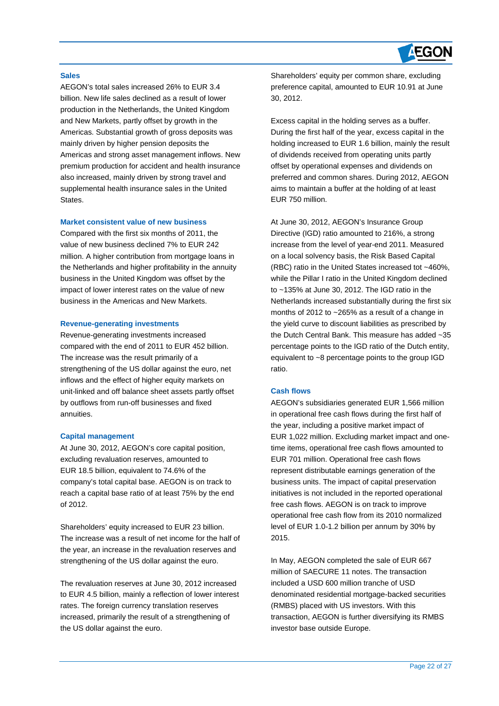

#### **Sales**

AEGON's total sales increased 26% to EUR 3.4 billion. New life sales declined as a result of lower production in the Netherlands, the United Kingdom and New Markets, partly offset by growth in the Americas. Substantial growth of gross deposits was mainly driven by higher pension deposits the Americas and strong asset management inflows. New premium production for accident and health insurance also increased, mainly driven by strong travel and supplemental health insurance sales in the United States.

#### **Market consistent value of new business**

Compared with the first six months of 2011, the value of new business declined 7% to EUR 242 million. A higher contribution from mortgage loans in the Netherlands and higher profitability in the annuity business in the United Kingdom was offset by the impact of lower interest rates on the value of new business in the Americas and New Markets.

#### **Revenue-generating investments**

Revenue-generating investments increased compared with the end of 2011 to EUR 452 billion. The increase was the result primarily of a strengthening of the US dollar against the euro, net inflows and the effect of higher equity markets on unit-linked and off balance sheet assets partly offset by outflows from run-off businesses and fixed annuities.

#### **Capital management**

At June 30, 2012, AEGON's core capital position, excluding revaluation reserves, amounted to EUR 18.5 billion, equivalent to 74.6% of the company's total capital base. AEGON is on track to reach a capital base ratio of at least 75% by the end of 2012.

Shareholders' equity increased to EUR 23 billion. The increase was a result of net income for the half of the year, an increase in the revaluation reserves and strengthening of the US dollar against the euro.

The revaluation reserves at June 30, 2012 increased to EUR 4.5 billion, mainly a reflection of lower interest rates. The foreign currency translation reserves increased, primarily the result of a strengthening of the US dollar against the euro.

Shareholders' equity per common share, excluding preference capital, amounted to EUR 10.91 at June 30, 2012.

Excess capital in the holding serves as a buffer. During the first half of the year, excess capital in the holding increased to EUR 1.6 billion, mainly the result of dividends received from operating units partly offset by operational expenses and dividends on preferred and common shares. During 2012, AEGON aims to maintain a buffer at the holding of at least EUR 750 million.

At June 30, 2012, AEGON's Insurance Group Directive (IGD) ratio amounted to 216%, a strong increase from the level of year-end 2011. Measured on a local solvency basis, the Risk Based Capital (RBC) ratio in the United States increased tot ~460%, while the Pillar I ratio in the United Kingdom declined to ~135% at June 30, 2012. The IGD ratio in the Netherlands increased substantially during the first six months of 2012 to ~265% as a result of a change in the yield curve to discount liabilities as prescribed by the Dutch Central Bank. This measure has added ~35 percentage points to the IGD ratio of the Dutch entity, equivalent to ~8 percentage points to the group IGD ratio.

#### **Cash flows**

AEGON's subsidiaries generated EUR 1,566 million in operational free cash flows during the first half of the year, including a positive market impact of EUR 1,022 million. Excluding market impact and onetime items, operational free cash flows amounted to EUR 701 million. Operational free cash flows represent distributable earnings generation of the business units. The impact of capital preservation initiatives is not included in the reported operational free cash flows. AEGON is on track to improve operational free cash flow from its 2010 normalized level of EUR 1.0-1.2 billion per annum by 30% by 2015.

In May, AEGON completed the sale of EUR 667 million of SAECURE 11 notes. The transaction included a USD 600 million tranche of USD denominated residential mortgage-backed securities (RMBS) placed with US investors. With this transaction, AEGON is further diversifying its RMBS investor base outside Europe.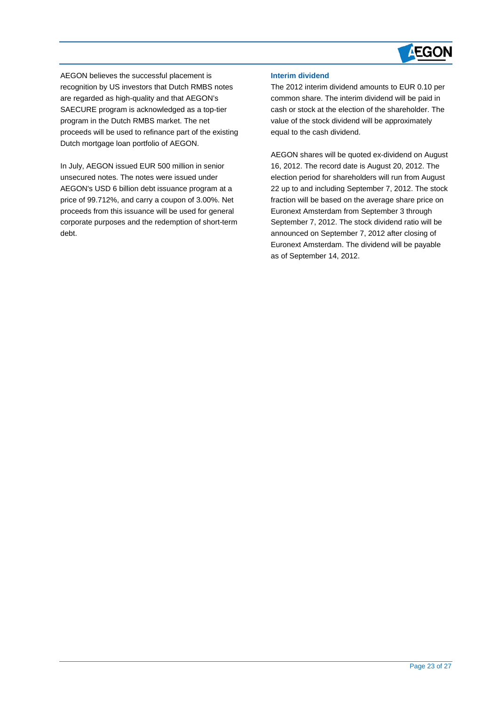

AEGON believes the successful placement is recognition by US investors that Dutch RMBS notes are regarded as high-quality and that AEGON's SAECURE program is acknowledged as a top-tier program in the Dutch RMBS market. The net proceeds will be used to refinance part of the existing Dutch mortgage loan portfolio of AEGON.

In July, AEGON issued EUR 500 million in senior unsecured notes. The notes were issued under AEGON's USD 6 billion debt issuance program at a price of 99.712%, and carry a coupon of 3.00%. Net proceeds from this issuance will be used for general corporate purposes and the redemption of short-term debt.

#### **Interim dividend**

The 2012 interim dividend amounts to EUR 0.10 per common share. The interim dividend will be paid in cash or stock at the election of the shareholder. The value of the stock dividend will be approximately equal to the cash dividend.

AEGON shares will be quoted ex-dividend on August 16, 2012. The record date is August 20, 2012. The election period for shareholders will run from August 22 up to and including September 7, 2012. The stock fraction will be based on the average share price on Euronext Amsterdam from September 3 through September 7, 2012. The stock dividend ratio will be announced on September 7, 2012 after closing of Euronext Amsterdam. The dividend will be payable as of September 14, 2012.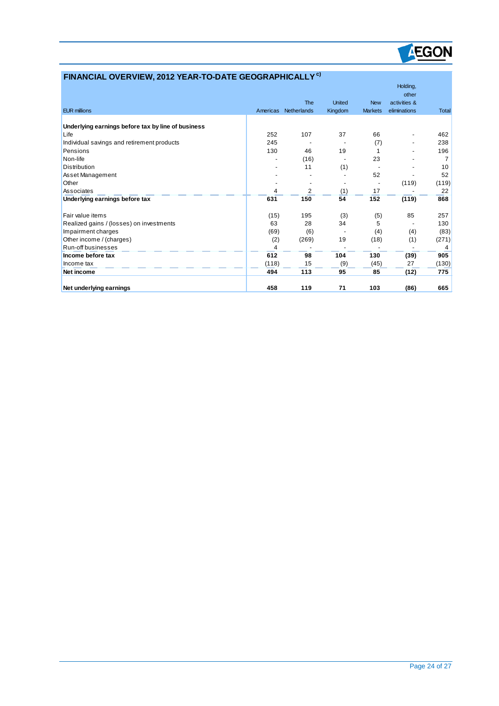

## **FINANCIAL OVERVIEW, 2012 YEAR-TO-DATE GEOGRAPHICALLYc)**

|                                                    |          |                |         |                | Holding,              |                |
|----------------------------------------------------|----------|----------------|---------|----------------|-----------------------|----------------|
|                                                    |          | <b>The</b>     | United  | <b>New</b>     | other<br>activities & |                |
| <b>EUR millions</b>                                | Americas | Netherlands    | Kingdom | <b>Markets</b> | eliminations          | Total          |
|                                                    |          |                |         |                |                       |                |
| Underlying earnings before tax by line of business |          |                |         |                |                       |                |
| Life                                               | 252      | 107            | 37      | 66             |                       | 462            |
| Individual savings and retirement products         | 245      |                |         | (7)            |                       | 238            |
| Pensions                                           | 130      | 46             | 19      |                |                       | 196            |
| Non-life                                           |          | (16)           |         | 23             |                       | $\overline{7}$ |
| <b>Distribution</b>                                |          | 11             | (1)     |                |                       | 10             |
| Asset Management                                   |          |                |         | 52             |                       | 52             |
| Other                                              |          |                |         |                | (119)                 | (119)          |
| Associates                                         | 4        | $\overline{2}$ | (1)     | 17             |                       | 22             |
| Underlying earnings before tax                     | 631      | 150            | 54      | 152            | (119)                 | 868            |
| Fair value items                                   | (15)     | 195            | (3)     | (5)            | 85                    | 257            |
| Realized gains / (losses) on investments           | 63       | 28             | 34      | 5              |                       | 130            |
| Impairment charges                                 | (69)     | (6)            |         | (4)            | (4)                   | (83)           |
| Other income / (charges)                           | (2)      | (269)          | 19      | (18)           | (1)                   | (271)          |
| Run-off businesses                                 | 4        |                |         |                |                       | 4              |
| Income before tax                                  | 612      | 98             | 104     | 130            | (39)                  | 905            |
| Income tax                                         | (118)    | 15             | (9)     | (45)           | 27                    | (130)          |
| Net income                                         | 494      | 113            | 95      | 85             | (12)                  | 775            |
| Net underlying earnings                            | 458      | 119            | 71      | 103            | (86)                  | 665            |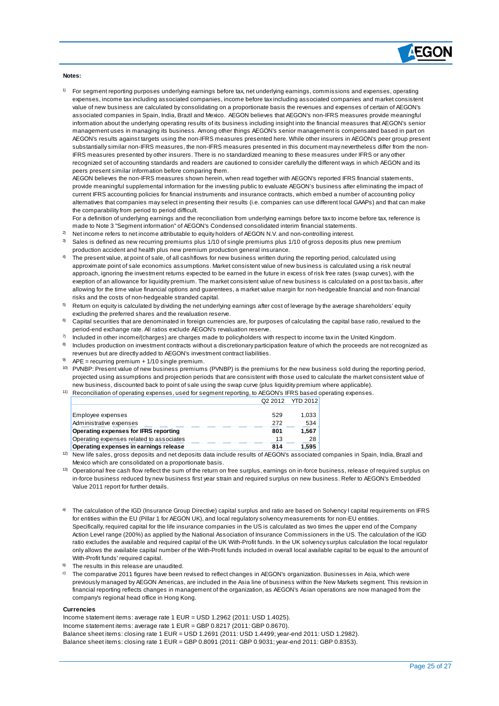

**Notes:**

<sup>1)</sup> For segment reporting purposes underlying earnings before tax, net underlying earnings, commissions and expenses, operating expenses, income tax including associated companies, income before tax including associated companies and market consistent value of new business are calculated by consolidating on a proportionate basis the revenues and expenses of certain of AEGON's associated companies in Spain, India, Brazil and Mexico. AEGON believes that AEGON's non-IFRS measures provide meaningful information about the underlying operating results of its business including insight into the financial measures that AEGON's senior management uses in managing its business. Among other things AEGON's senior management is compensated based in part on AEGON's results against targets using the non-IFRS measures presented here. While other insurers in AEGON's peer group present substantially similar non-IFRS measures, the non-IFRS measures presented in this document may nevertheless differ from the non-IFRS measures presented by other insurers. There is no standardized meaning to these measures under IFRS or any other recognized set of accounting standards and readers are cautioned to consider carefully the different ways in which AEGON and its peers present similar information before comparing them.

AEGON believes the non-IFRS measures shown herein, when read together with AEGON's reported IFRS financial statements, provide meaningful supplemental information for the investing public to evaluate AEGON's business after eliminating the impact of current IFRS accounting policies for financial instruments and insurance contracts, which embed a number of accounting policy alternatives that companies may select in presenting their results (i.e. companies can use different local GAAPs) and that can make the comparability from period to period difficult.

For a definition of underlying earnings and the reconciliation from underlying earnings before tax to income before tax, reference is made to Note 3 "Segment information" of AEGON's Condensed consolidated interim financial statements.

- $^{2)}$  Net income refers to net income attributable to equity holders of AEGON N.V. and non-controlling interest.
- $3$  Sales is defined as new recurring premiums plus 1/10 of single premiums plus 1/10 of gross deposits plus new premium production accident and health plus new premium production general insurance.
- 4) The present value, at point of sale, of all cashflows for new business written during the reporting period, calculated using approximate point of sale economics assumptions. Market consistent value of new business is calculated using a risk neutral approach, ignoring the investment returns expected to be earned in the future in excess of risk free rates (swap curves), with the exeption of an allowance for liquidity premium. The market consistent value of new business is calculated on a post tax basis, after allowing for the time value financial options and guarentees, a market value margin for non-hedgeable financial and non-financial risks and the costs of non-hedgeable stranded capital.
- $^{5)}$  Return on equity is calculated by dividing the net underlying earnings after cost of leverage by the average shareholders' equity excluding the preferred shares and the revaluation reserve.
- $^{6)}$  Capital securities that are denominated in foreign currencies are, for purposes of calculating the capital base ratio, revalued to the period-end exchange rate. All ratios exclude AEGON's revaluation reserve.
- $^\eta$  Included in other income/(charges) are charges made to policyholders with respect to income tax in the United Kingdom.
- 8) Includes production on investment contracts without a discretionary participation feature of which the proceeds are not recognized as revenues but are directly added to AEGON's investment contract liabilities.
- $9$  APE = recurring premium + 1/10 single premium.
- <sup>10)</sup> PVNBP: Present value of new business premiums (PVNBP) is the premiums for the new business sold during the reporting period, projected using assumptions and projection periods that are consistent with those used to calculate the market consistent value of new business, discounted back to point of sale using the swap curve (plus liquidity premium where applicable).

<sup>11)</sup> Reconciliation of operating expenses, used for segment reporting, to AEGON's IFRS based operating expenses. Q2 2012 YTD 2012

| Employee expenses                        | 529 | 1,033 |
|------------------------------------------|-----|-------|
| Administrative expenses                  | 272 | 534   |
| Operating expenses for IFRS reporting    | 801 | 1.567 |
| Operating expenses related to associates | 13  | 28    |
| Operating expenses in earnings release   | 814 | 1.595 |
|                                          |     |       |

<sup>12)</sup> New life sales, gross deposits and net deposits data include results of AEGON's associated companies in Spain, India, Brazil and Mexico which are consolidated on a proportionate basis.

- <sup>13)</sup> Operational free cash flow reflect the sum of the return on free surplus, earnings on in-force business, release of required surplus on in-force business reduced by new business first year strain and required surplus on new business. Refer to AEGON's Embedded Value 2011 report for further details.
- a) The calculation of the IGD (Insurance Group Directive) capital surplus and ratio are based on Solvency I capital requirements on IFRS for entities within the EU (Pillar 1 for AEGON UK), and local regulatory solvency measurements for non-EU entities. Specifically, required capital for the life insurance companies in the US is calculated as two times the upper end of the Company Action Level range (200%) as applied by the National Association of Insurance Commissioners in the US. The calculation of the IGD ratio excludes the available and required capital of the UK With-Profit funds. In the UK solvency surplus calculation the local regulator only allows the available capital number of the With-Profit funds included in overall local available capital to be equal to the amount of With-Profit funds' required capital.
- b) The results in this release are unaudited.
- c) The comparative 2011 figures have been revised to reflect changes in AEGON's organization. Businesses in Asia, which were previously managed by AEGON Americas, are included in the Asia line of business within the New Markets segment. This revision in financial reporting reflects changes in management of the organization, as AEGON's Asian operations are now managed from the company's regional head office in Hong Kong.

#### **Currencies**

Income statement items: average rate 1 EUR = USD 1.2962 (2011: USD 1.4025).

Income statement items: average rate 1 EUR = GBP 0.8217 (2011: GBP 0.8670).

Balance sheet items: closing rate 1 EUR = USD 1.2691 (2011: USD 1.4499; year-end 2011: USD 1.2982).

Balance sheet items: closing rate 1 EUR = GBP 0.8091 (2011: GBP 0.9031; year-end 2011: GBP 0.8353).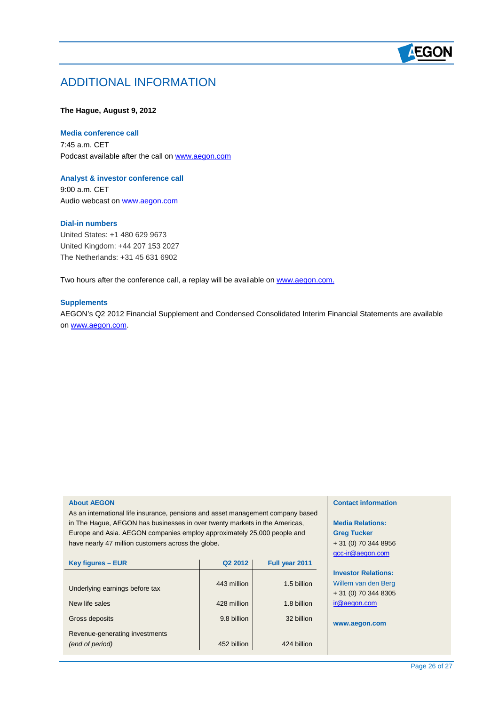

# ADDITIONAL INFORMATION

#### **The Hague, August 9, 2012**

#### **Media conference call**

 $7:45$  a.m. CFT Podcast available after the call on [www.aegon.com](http://www.aegon.com/)

#### **Analyst & investor conference call**

9:00 a.m. CET Audio webcast o[n www.aegon.com](http://www.aegon.com/)

#### **Dial-in numbers**

United States: +1 480 629 9673 United Kingdom: +44 207 153 2027 The Netherlands: +31 45 631 6902

Two hours after the conference call, a replay will be available on www.aegon.com.

#### **Supplements**

AEGON's Q2 2012 Financial Supplement and Condensed Consolidated Interim Financial Statements are available o[n www.aegon.com.](http://www.aegon.com/)

#### **About AEGON**

As an international life insurance, pensions and asset management company based in The Hague, AEGON has businesses in over twenty markets in the Americas, Europe and Asia. AEGON companies employ approximately 25,000 people and have nearly 47 million customers across the globe.

| Key figures - EUR                                 | Q <sub>2</sub> 2012 | Full year 2011 |
|---------------------------------------------------|---------------------|----------------|
| Underlying earnings before tax                    | 443 million         | 1.5 billion    |
| New life sales                                    | 428 million         | 1.8 billion    |
| Gross deposits                                    | 9.8 billion         | 32 billion     |
| Revenue-generating investments<br>(end of period) | 452 billion         | 424 billion    |

#### **Contact information**

**Media Relations: Greg Tucker** + 31 (0) 70 344 8956 [gcc-ir@aegon.com](mailto:gcc-ir@aegon.com)

#### **Investor Relations:**

Willem van den Berg + 31 (0) 70 344 8305 [ir@aegon.com](mailto:ir@aegon.com)

**www.aegon.com**